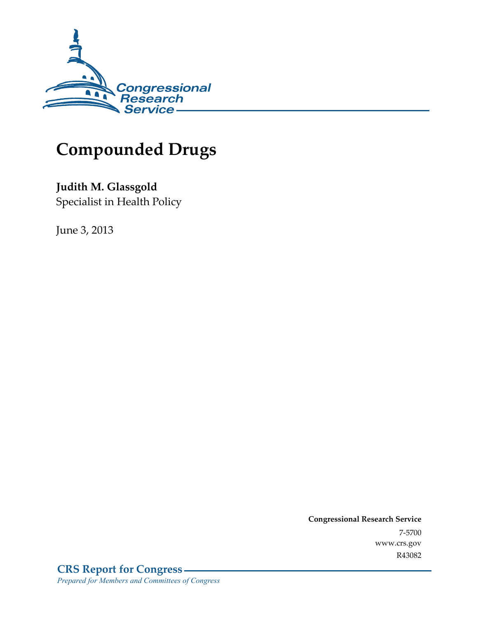

# **Compounded Drugs**

**Judith M. Glassgold**  Specialist in Health Policy

June 3, 2013

**Congressional Research Service**  7-5700 www.crs.gov R43082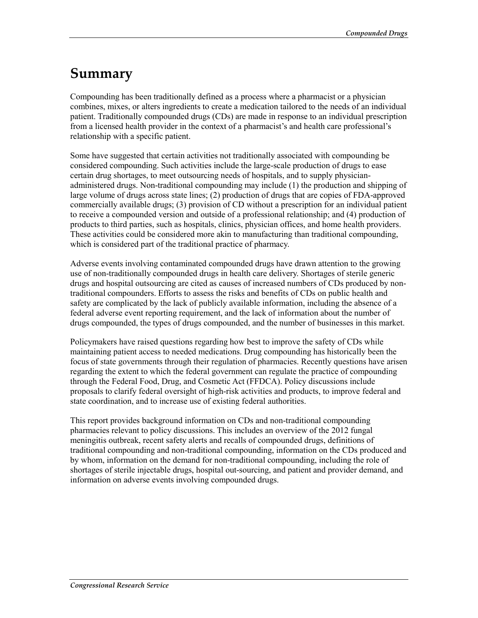## **Summary**

Compounding has been traditionally defined as a process where a pharmacist or a physician combines, mixes, or alters ingredients to create a medication tailored to the needs of an individual patient. Traditionally compounded drugs (CDs) are made in response to an individual prescription from a licensed health provider in the context of a pharmacist's and health care professional's relationship with a specific patient.

Some have suggested that certain activities not traditionally associated with compounding be considered compounding. Such activities include the large-scale production of drugs to ease certain drug shortages, to meet outsourcing needs of hospitals, and to supply physicianadministered drugs. Non-traditional compounding may include (1) the production and shipping of large volume of drugs across state lines; (2) production of drugs that are copies of FDA-approved commercially available drugs; (3) provision of CD without a prescription for an individual patient to receive a compounded version and outside of a professional relationship; and (4) production of products to third parties, such as hospitals, clinics, physician offices, and home health providers. These activities could be considered more akin to manufacturing than traditional compounding, which is considered part of the traditional practice of pharmacy.

Adverse events involving contaminated compounded drugs have drawn attention to the growing use of non-traditionally compounded drugs in health care delivery. Shortages of sterile generic drugs and hospital outsourcing are cited as causes of increased numbers of CDs produced by nontraditional compounders. Efforts to assess the risks and benefits of CDs on public health and safety are complicated by the lack of publicly available information, including the absence of a federal adverse event reporting requirement, and the lack of information about the number of drugs compounded, the types of drugs compounded, and the number of businesses in this market.

Policymakers have raised questions regarding how best to improve the safety of CDs while maintaining patient access to needed medications. Drug compounding has historically been the focus of state governments through their regulation of pharmacies. Recently questions have arisen regarding the extent to which the federal government can regulate the practice of compounding through the Federal Food, Drug, and Cosmetic Act (FFDCA). Policy discussions include proposals to clarify federal oversight of high-risk activities and products, to improve federal and state coordination, and to increase use of existing federal authorities.

This report provides background information on CDs and non-traditional compounding pharmacies relevant to policy discussions. This includes an overview of the 2012 fungal meningitis outbreak, recent safety alerts and recalls of compounded drugs, definitions of traditional compounding and non-traditional compounding, information on the CDs produced and by whom, information on the demand for non-traditional compounding, including the role of shortages of sterile injectable drugs, hospital out-sourcing, and patient and provider demand, and information on adverse events involving compounded drugs.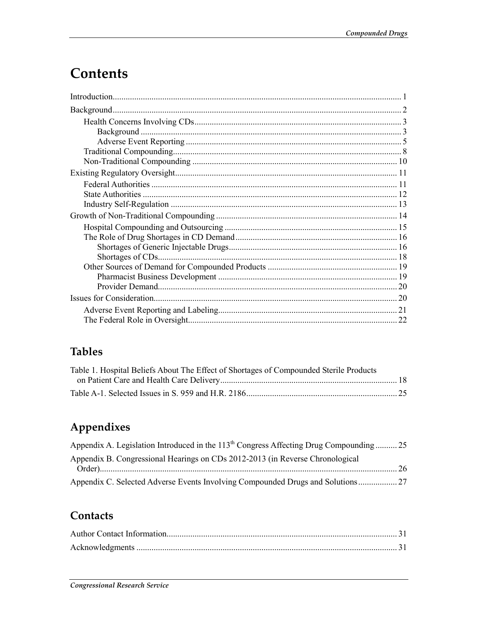# **Contents**

| 22 |
|----|

## **Tables**

| Table 1. Hospital Beliefs About The Effect of Shortages of Compounded Sterile Products |  |
|----------------------------------------------------------------------------------------|--|
|                                                                                        |  |
|                                                                                        |  |

## Appendixes

| Appendix A. Legislation Introduced in the 113 <sup>th</sup> Congress Affecting Drug Compounding  25 |  |
|-----------------------------------------------------------------------------------------------------|--|
| Appendix B. Congressional Hearings on CDs 2012-2013 (in Reverse Chronological                       |  |
|                                                                                                     |  |
| Appendix C. Selected Adverse Events Involving Compounded Drugs and Solutions                        |  |

### Contacts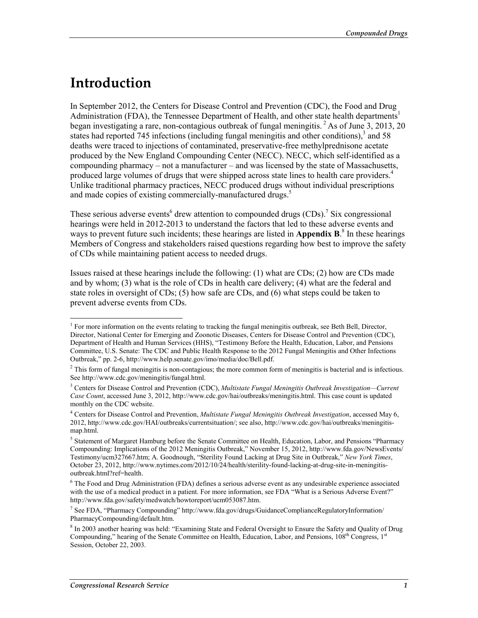## **Introduction**

1

In September 2012, the Centers for Disease Control and Prevention (CDC), the Food and Drug Administration (FDA), the Tennessee Department of Health, and other state health departments<sup>1</sup> began investigating a rare, non-contagious outbreak of fungal meningitis.<sup>2</sup> As of June 3, 2013, 20 states had reported  $745$  infections (including fungal meningitis and other conditions), $3$  and  $58$ deaths were traced to injections of contaminated, preservative-free methylprednisone acetate produced by the New England Compounding Center (NECC). NECC, which self-identified as a compounding pharmacy – not a manufacturer – and was licensed by the state of Massachusetts, produced large volumes of drugs that were shipped across state lines to health care providers.<sup>4</sup> Unlike traditional pharmacy practices, NECC produced drugs without individual prescriptions and made copies of existing commercially-manufactured drugs.<sup>5</sup>

These serious adverse events<sup>6</sup> drew attention to compounded drugs  $(CDs)$ .<sup>7</sup> Six congressional hearings were held in 2012-2013 to understand the factors that led to these adverse events and ways to prevent future such incidents; these hearings are listed in **Appendix B**.<sup>8</sup> In these hearings Members of Congress and stakeholders raised questions regarding how best to improve the safety of CDs while maintaining patient access to needed drugs.

Issues raised at these hearings include the following: (1) what are CDs; (2) how are CDs made and by whom; (3) what is the role of CDs in health care delivery; (4) what are the federal and state roles in oversight of CDs; (5) how safe are CDs, and (6) what steps could be taken to prevent adverse events from CDs.

<sup>&</sup>lt;sup>1</sup> For more information on the events relating to tracking the fungal meningitis outbreak, see Beth Bell, Director, Director, National Center for Emerging and Zoonotic Diseases, Centers for Disease Control and Prevention (CDC), Department of Health and Human Services (HHS), "Testimony Before the Health, Education, Labor, and Pensions Committee, U.S. Senate: The CDC and Public Health Response to the 2012 Fungal Meningitis and Other Infections Outbreak," pp. 2-6, http://www.help.senate.gov/imo/media/doc/Bell.pdf.

 $2$  This form of fungal meningitis is non-contagious; the more common form of meningitis is bacterial and is infectious. See http://www.cdc.gov/meningitis/fungal.html.

<sup>3</sup> Centers for Disease Control and Prevention (CDC), *Multistate Fungal Meningitis Outbreak Investigation—Current Case Count*, accessed June 3, 2012, http://www.cdc.gov/hai/outbreaks/meningitis.html. This case count is updated monthly on the CDC website.

<sup>4</sup> Centers for Disease Control and Prevention, *Multistate Fungal Meningitis Outbreak Investigation*, accessed May 6, 2012, http://www.cdc.gov/HAI/outbreaks/currentsituation/; see also, http://www.cdc.gov/hai/outbreaks/meningitismap.html.

<sup>&</sup>lt;sup>5</sup> Statement of Margaret Hamburg before the Senate Committee on Health, Education, Labor, and Pensions "Pharmacy Compounding: Implications of the 2012 Meningitis Outbreak," November 15, 2012, http://www.fda.gov/NewsEvents/ Testimony/ucm327667.htm; A. Goodnough, "Sterility Found Lacking at Drug Site in Outbreak," *New York Times*, October 23, 2012, http://www.nytimes.com/2012/10/24/health/sterility-found-lacking-at-drug-site-in-meningitisoutbreak.html?ref=health.

<sup>&</sup>lt;sup>6</sup> The Food and Drug Administration (FDA) defines a serious adverse event as any undesirable experience associated with the use of a medical product in a patient. For more information, see FDA "What is a Serious Adverse Event?" http://www.fda.gov/safety/medwatch/howtoreport/ucm053087.htm.

<sup>&</sup>lt;sup>7</sup> See FDA, "Pharmacy Compounding" http://www.fda.gov/drugs/GuidanceComplianceRegulatoryInformation/ PharmacyCompounding/default.htm.

<sup>&</sup>lt;sup>8</sup> In 2003 another hearing was held: "Examining State and Federal Oversight to Ensure the Safety and Quality of Drug Compounding," hearing of the Senate Committee on Health, Education, Labor, and Pensions, 108<sup>th</sup> Congress, 1<sup>st</sup> Session, October 22, 2003.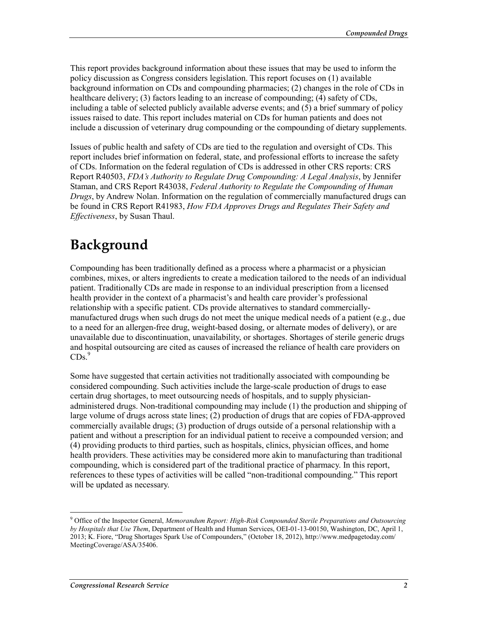This report provides background information about these issues that may be used to inform the policy discussion as Congress considers legislation. This report focuses on (1) available background information on CDs and compounding pharmacies; (2) changes in the role of CDs in healthcare delivery; (3) factors leading to an increase of compounding; (4) safety of CDs, including a table of selected publicly available adverse events; and (5) a brief summary of policy issues raised to date. This report includes material on CDs for human patients and does not include a discussion of veterinary drug compounding or the compounding of dietary supplements.

Issues of public health and safety of CDs are tied to the regulation and oversight of CDs. This report includes brief information on federal, state, and professional efforts to increase the safety of CDs. Information on the federal regulation of CDs is addressed in other CRS reports: CRS Report R40503, *FDA's Authority to Regulate Drug Compounding: A Legal Analysis*, by Jennifer Staman, and CRS Report R43038, *Federal Authority to Regulate the Compounding of Human Drugs*, by Andrew Nolan. Information on the regulation of commercially manufactured drugs can be found in CRS Report R41983, *How FDA Approves Drugs and Regulates Their Safety and Effectiveness*, by Susan Thaul.

# **Background**

Compounding has been traditionally defined as a process where a pharmacist or a physician combines, mixes, or alters ingredients to create a medication tailored to the needs of an individual patient. Traditionally CDs are made in response to an individual prescription from a licensed health provider in the context of a pharmacist's and health care provider's professional relationship with a specific patient. CDs provide alternatives to standard commerciallymanufactured drugs when such drugs do not meet the unique medical needs of a patient (e.g., due to a need for an allergen-free drug, weight-based dosing, or alternate modes of delivery), or are unavailable due to discontinuation, unavailability, or shortages. Shortages of sterile generic drugs and hospital outsourcing are cited as causes of increased the reliance of health care providers on  $CDs.<sup>9</sup>$ 

Some have suggested that certain activities not traditionally associated with compounding be considered compounding. Such activities include the large-scale production of drugs to ease certain drug shortages, to meet outsourcing needs of hospitals, and to supply physicianadministered drugs. Non-traditional compounding may include (1) the production and shipping of large volume of drugs across state lines; (2) production of drugs that are copies of FDA-approved commercially available drugs; (3) production of drugs outside of a personal relationship with a patient and without a prescription for an individual patient to receive a compounded version; and (4) providing products to third parties, such as hospitals, clinics, physician offices, and home health providers. These activities may be considered more akin to manufacturing than traditional compounding, which is considered part of the traditional practice of pharmacy. In this report, references to these types of activities will be called "non-traditional compounding." This report will be updated as necessary.

<sup>9</sup> Office of the Inspector General, *Memorandum Report: High-Risk Compounded Sterile Preparations and Outsourcing by Hospitals that Use Them*, Department of Health and Human Services, OEI-01-13-00150, Washington, DC, April 1, 2013; K. Fiore, "Drug Shortages Spark Use of Compounders," (October 18, 2012), http://www.medpagetoday.com/ MeetingCoverage/ASA/35406.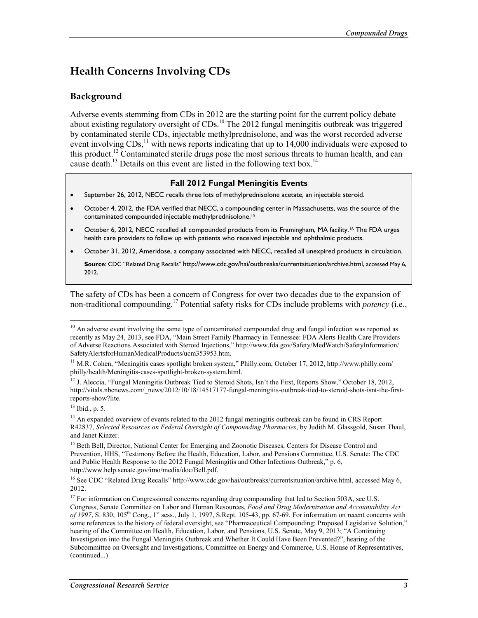## **Health Concerns Involving CDs**

#### **Background**

Adverse events stemming from CDs in 2012 are the starting point for the current policy debate about existing regulatory oversight of CDs.<sup>10</sup> The 2012 fungal meningitis outbreak was triggered by contaminated sterile CDs, injectable methylprednisolone, and was the worst recorded adverse event involving CDs,<sup>11</sup> with news reports indicating that up to 14,000 individuals were exposed to this product.<sup>12</sup> Contaminated sterile drugs pose the most serious threats to human health, and can cause death.<sup>13</sup> Details on this event are listed in the following text box.<sup>14</sup>

#### **Fall 2012 Fungal Meningitis Events**

- September 26, 2012, NECC recalls three lots of methylprednisolone acetate, an injectable steroid.
- October 4, 2012, the FDA verified that NECC, a compounding center in Massachusetts, was the source of the contaminated compounded injectable methylprednisolone.15
- October 6, 2012, NECC recalled all compounded products from its Framingham, MA facility.16 The FDA urges health care providers to follow up with patients who received injectable and ophthalmic products.
- October 31, 2012, Ameridose, a company associated with NECC, recalled all unexpired products in circulation.

**Source**: CDC "Related Drug Recalls" http://www.cdc.gov/hai/outbreaks/currentsituation/archive.html, accessed May 6, 2012.

The safety of CDs has been a concern of Congress for over two decades due to the expansion of non-traditional compounding.17 Potential safety risks for CDs include problems with *potency* (i.e.,

 $10$  An adverse event involving the same type of contaminated compounded drug and fungal infection was reported as recently as May 24, 2013, see FDA, "Main Street Family Pharmacy in Tennessee: FDA Alerts Health Care Providers of Adverse Reactions Associated with Steroid Injections," http://www.fda.gov/Safety/MedWatch/SafetyInformation/ SafetyAlertsforHumanMedicalProducts/ucm353953.htm.

<sup>&</sup>lt;sup>11</sup> M.R. Cohen, "Meningitis cases spotlight broken system," Philly.com, October 17, 2012, http://www.philly.com/ philly/health/Meningitis-cases-spotlight-broken-system.html.

<sup>&</sup>lt;sup>12</sup> J. Aleccia, "Fungal Meningitis Outbreak Tied to Steroid Shots, Isn't the First, Reports Show," October 18, 2012, http://vitals.nbcnews.com/\_news/2012/10/18/14517177-fungal-meningitis-outbreak-tied-to-steroid-shots-isnt-the-firstreports-show?lite.

<sup>13</sup> Ibid., p. 5.

<sup>&</sup>lt;sup>14</sup> An expanded overview of events related to the 2012 fungal meningitis outbreak can be found in CRS Report R42837, *Selected Resources on Federal Oversight of Compounding Pharmacies*, by Judith M. Glassgold, Susan Thaul, and Janet Kinzer.

<sup>&</sup>lt;sup>15</sup> Beth Bell, Director, National Center for Emerging and Zoonotic Diseases, Centers for Disease Control and Prevention, HHS, "Testimony Before the Health, Education, Labor, and Pensions Committee, U.S. Senate: The CDC and Public Health Response to the 2012 Fungal Meningitis and Other Infections Outbreak," p. 6, http://www.help.senate.gov/imo/media/doc/Bell.pdf.

<sup>&</sup>lt;sup>16</sup> See CDC "Related Drug Recalls" http://www.cdc.gov/hai/outbreaks/currentsituation/archive.html, accessed May 6, 2012.

<sup>&</sup>lt;sup>17</sup> For information on Congressional concerns regarding drug compounding that led to Section 503A, see U.S. Congress, Senate Committee on Labor and Human Resources, *Food and Drug Modernization and Accountability Act of 1997*, S. 830, 105th Cong., 1st sess., July 1, 1997, S.Rept. 105-43, pp. 67-69. For information on recent concerns with some references to the history of federal oversight, see "Pharmaceutical Compounding: Proposed Legislative Solution," hearing of the Committee on Health, Education, Labor, and Pensions, U.S. Senate, May 9, 2013; "A Continuing Investigation into the Fungal Meningitis Outbreak and Whether It Could Have Been Prevented?", hearing of the Subcommittee on Oversight and Investigations, Committee on Energy and Commerce, U.S. House of Representatives, (continued...)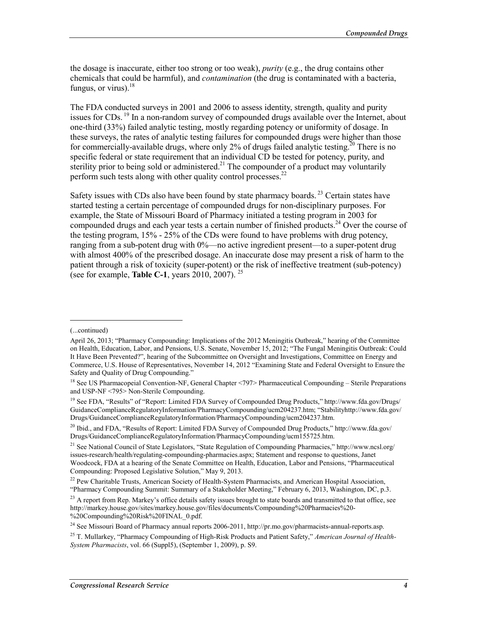the dosage is inaccurate, either too strong or too weak), *purity* (e.g., the drug contains other chemicals that could be harmful), and *contamination* (the drug is contaminated with a bacteria, fungus, or virus). $^{18}$ 

The FDA conducted surveys in 2001 and 2006 to assess identity, strength, quality and purity issues for CDs.  $^{19}$  In a non-random survey of compounded drugs available over the Internet, about one-third (33%) failed analytic testing, mostly regarding potency or uniformity of dosage. In these surveys, the rates of analytic testing failures for compounded drugs were higher than those for commercially-available drugs, where only 2% of drugs failed analytic testing.<sup>20</sup> There is no specific federal or state requirement that an individual CD be tested for potency, purity, and sterility prior to being sold or administered.<sup>21</sup> The compounder of a product may voluntarily perform such tests along with other quality control processes.<sup>22</sup>

Safety issues with CDs also have been found by state pharmacy boards.<sup>23</sup> Certain states have started testing a certain percentage of compounded drugs for non-disciplinary purposes. For example, the State of Missouri Board of Pharmacy initiated a testing program in 2003 for compounded drugs and each year tests a certain number of finished products.<sup>24</sup> Over the course of the testing program, 15% - 25% of the CDs were found to have problems with drug potency, ranging from a sub-potent drug with 0%—no active ingredient present—to a super-potent drug with almost 400% of the prescribed dosage. An inaccurate dose may present a risk of harm to the patient through a risk of toxicity (super-potent) or the risk of ineffective treatment (sub-potency) (see for example, **Table C-1**, years 2010, 2007). 25

<sup>(...</sup>continued)

April 26, 2013; "Pharmacy Compounding: Implications of the 2012 Meningitis Outbreak," hearing of the Committee on Health, Education, Labor, and Pensions, U.S. Senate, November 15, 2012; "The Fungal Meningitis Outbreak: Could It Have Been Prevented?", hearing of the Subcommittee on Oversight and Investigations, Committee on Energy and Commerce, U.S. House of Representatives, November 14, 2012 "Examining State and Federal Oversight to Ensure the Safety and Quality of Drug Compounding."

<sup>18</sup> See US Pharmacopeial Convention-NF, General Chapter <797> Pharmaceutical Compounding – Sterile Preparations and USP-NF <795> Non-Sterile Compounding.

<sup>19</sup> See FDA, "Results" of "Report: Limited FDA Survey of Compounded Drug Products," http://www.fda.gov/Drugs/ GuidanceComplianceRegulatoryInformation/PharmacyCompounding/ucm204237.htm; "Stabilityhttp://www.fda.gov/ Drugs/GuidanceComplianceRegulatoryInformation/PharmacyCompounding/ucm204237.htm.

<sup>&</sup>lt;sup>20</sup> Ibid., and FDA, "Results of Report: Limited FDA Survey of Compounded Drug Products," http://www.fda.gov/ Drugs/GuidanceComplianceRegulatoryInformation/PharmacyCompounding/ucm155725.htm.

<sup>&</sup>lt;sup>21</sup> See National Council of State Legislators, "State Regulation of Compounding Pharmacies," http://www.ncsl.org/ issues-research/health/regulating-compounding-pharmacies.aspx; Statement and response to questions, Janet Woodcock, FDA at a hearing of the Senate Committee on Health, Education, Labor and Pensions, "Pharmaceutical Compounding: Proposed Legislative Solution," May 9, 2013.

<sup>&</sup>lt;sup>22</sup> Pew Charitable Trusts, American Society of Health-System Pharmacists, and American Hospital Association, "Pharmacy Compounding Summit: Summary of a Stakeholder Meeting," February 6, 2013, Washington, DC, p.3.

 $^{23}$  A report from Rep. Markey's office details safety issues brought to state boards and transmitted to that office, see http://markey.house.gov/sites/markey.house.gov/files/documents/Compounding%20Pharmacies%20- %20Compounding%20Risk%20FINAL\_0.pdf.

<sup>&</sup>lt;sup>24</sup> See Missouri Board of Pharmacy annual reports 2006-2011, http://pr.mo.gov/pharmacists-annual-reports.asp.

<sup>25</sup> T. Mullarkey, "Pharmacy Compounding of High-Risk Products and Patient Safety," *American Journal of Health-System Pharmacists*, vol. 66 (Suppl5), (September 1, 2009), p. S9.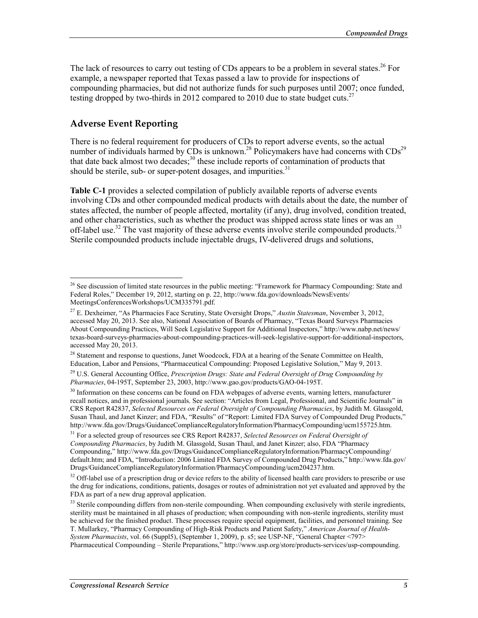The lack of resources to carry out testing of CDs appears to be a problem in several states.<sup>26</sup> For example, a newspaper reported that Texas passed a law to provide for inspections of compounding pharmacies, but did not authorize funds for such purposes until 2007; once funded, testing dropped by two-thirds in 2012 compared to 2010 due to state budget cuts.<sup>27</sup>

#### **Adverse Event Reporting**

<u>.</u>

There is no federal requirement for producers of CDs to report adverse events, so the actual number of individuals harmed by CDs is unknown.<sup>28</sup> Policymakers have had concerns with  $CDs^{29}$ that date back almost two decades;<sup>30</sup> these include reports of contamination of products that should be sterile, sub- or super-potent dosages, and impurities.<sup>31</sup>

**Table C-1** provides a selected compilation of publicly available reports of adverse events involving CDs and other compounded medical products with details about the date, the number of states affected, the number of people affected, mortality (if any), drug involved, condition treated, and other characteristics, such as whether the product was shipped across state lines or was an off-label use.<sup>32</sup> The vast majority of these adverse events involve sterile compounded products.<sup>33</sup> Sterile compounded products include injectable drugs, IV-delivered drugs and solutions,

<sup>28</sup> Statement and response to questions, Janet Woodcock, FDA at a hearing of the Senate Committee on Health, Education, Labor and Pensions, "Pharmaceutical Compounding: Proposed Legislative Solution," May 9, 2013.

<sup>&</sup>lt;sup>26</sup> See discussion of limited state resources in the public meeting: "Framework for Pharmacy Compounding: State and Federal Roles," December 19, 2012, starting on p. 22, http://www.fda.gov/downloads/NewsEvents/ MeetingsConferencesWorkshops/UCM335791.pdf.

<sup>27</sup> E. Dexheimer, "As Pharmacies Face Scrutiny, State Oversight Drops," *Austin Statesman*, November 3, 2012, accessed May 20, 2013. See also, National Association of Boards of Pharmacy, "Texas Board Surveys Pharmacies About Compounding Practices, Will Seek Legislative Support for Additional Inspectors," http://www.nabp.net/news/ texas-board-surveys-pharmacies-about-compounding-practices-will-seek-legislative-support-for-additional-inspectors, accessed May 20, 2013.

<sup>29</sup> U.S. General Accounting Office, *Prescription Drugs: State and Federal Oversight of Drug Compounding by Pharmacies*, 04-195T, September 23, 2003, http://www.gao.gov/products/GAO-04-195T.

<sup>&</sup>lt;sup>30</sup> Information on these concerns can be found on FDA webpages of adverse events, warning letters, manufacturer recall notices, and in professional journals. See section: "Articles from Legal, Professional, and Scientific Journals" in CRS Report R42837, *Selected Resources on Federal Oversight of Compounding Pharmacies*, by Judith M. Glassgold, Susan Thaul, and Janet Kinzer; and FDA, "Results" of "Report: Limited FDA Survey of Compounded Drug Products," http://www.fda.gov/Drugs/GuidanceComplianceRegulatoryInformation/PharmacyCompounding/ucm155725.htm.

<sup>31</sup> For a selected group of resources see CRS Report R42837, *Selected Resources on Federal Oversight of Compounding Pharmacies*, by Judith M. Glassgold, Susan Thaul, and Janet Kinzer; also, FDA "Pharmacy Compounding," http://www.fda.gov/Drugs/GuidanceComplianceRegulatoryInformation/PharmacyCompounding/ default.htm; and FDA, "Introduction: 2006 Limited FDA Survey of Compounded Drug Products," http://www.fda.gov/ Drugs/GuidanceComplianceRegulatoryInformation/PharmacyCompounding/ucm204237.htm.

<sup>&</sup>lt;sup>32</sup> Off-label use of a prescription drug or device refers to the ability of licensed health care providers to prescribe or use the drug for indications, conditions, patients, dosages or routes of administration not yet evaluated and approved by the FDA as part of a new drug approval application.

 $33$  Sterile compounding differs from non-sterile compounding. When compounding exclusively with sterile ingredients, sterility must be maintained in all phases of production; when compounding with non-sterile ingredients, sterility must be achieved for the finished product. These processes require special equipment, facilities, and personnel training. See T. Mullarkey, "Pharmacy Compounding of High-Risk Products and Patient Safety," *American Journal of Health-System Pharmacists*, vol. 66 (Suppl5), (September 1, 2009), p. s5; see USP-NF, "General Chapter <797>

Pharmaceutical Compounding – Sterile Preparations," http://www.usp.org/store/products-services/usp-compounding.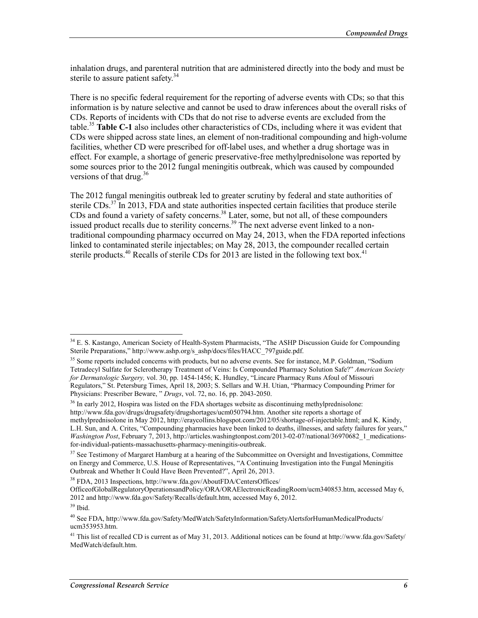inhalation drugs, and parenteral nutrition that are administered directly into the body and must be sterile to assure patient safety.<sup>34</sup>

There is no specific federal requirement for the reporting of adverse events with CDs; so that this information is by nature selective and cannot be used to draw inferences about the overall risks of CDs. Reports of incidents with CDs that do not rise to adverse events are excluded from the table.35 **Table C-1** also includes other characteristics of CDs, including where it was evident that CDs were shipped across state lines, an element of non-traditional compounding and high-volume facilities, whether CD were prescribed for off-label uses, and whether a drug shortage was in effect. For example, a shortage of generic preservative-free methylprednisolone was reported by some sources prior to the 2012 fungal meningitis outbreak, which was caused by compounded versions of that drug. $36$ 

The 2012 fungal meningitis outbreak led to greater scrutiny by federal and state authorities of sterile  $CDS$ <sup>37</sup> In 2013, FDA and state authorities inspected certain facilities that produce sterile CDs and found a variety of safety concerns.<sup>38</sup> Later, some, but not all, of these compounders issued product recalls due to sterility concerns.<sup>39</sup> The next adverse event linked to a nontraditional compounding pharmacy occurred on May 24, 2013, when the FDA reported infections linked to contaminated sterile injectables; on May 28, 2013, the compounder recalled certain sterile products.<sup>40</sup> Recalls of sterile CDs for 2013 are listed in the following text box.<sup>41</sup>

<sup>36</sup> In early 2012, Hospira was listed on the FDA shortages website as discontinuing methylprednisolone: http://www.fda.gov/drugs/drugsafety/drugshortages/ucm050794.htm. Another site reports a shortage of methylprednisolone in May 2012, http://eraycollins.blogspot.com/2012/05/shortage-of-injectable.html; and K. Kindy, L.H. Sun, and A. Crites, "Compounding pharmacies have been linked to deaths, illnesses, and safety failures for years," *Washington Post*, February 7, 2013, http://articles.washingtonpost.com/2013-02-07/national/36970682\_1\_medicationsfor-individual-patients-massachusetts-pharmacy-meningitis-outbreak.

<sup>&</sup>lt;sup>34</sup> E. S. Kastango, American Society of Health-System Pharmacists, "The ASHP Discussion Guide for Compounding Sterile Preparations," http://www.ashp.org/s\_ashp/docs/files/HACC\_797guide.pdf.

<sup>&</sup>lt;sup>35</sup> Some reports included concerns with products, but no adverse events. See for instance, M.P. Goldman, "Sodium Tetradecyl Sulfate for Sclerotherapy Treatment of Veins: Is Compounded Pharmacy Solution Safe?" *American Society for Dermatologic Surgery,* vol. 30, pp. 1454-1456; K. Hundley, "Lincare Pharmacy Runs Afoul of Missouri Regulators," St. Petersburg Times, April 18, 2003; S. Sellars and W.H. Utian, "Pharmacy Compounding Primer for Physicians: Prescriber Beware, " *Drugs*, vol. 72, no. 16, pp. 2043-2050.

 $37$  See Testimony of Margaret Hamburg at a hearing of the Subcommittee on Oversight and Investigations, Committee on Energy and Commerce, U.S. House of Representatives, "A Continuing Investigation into the Fungal Meningitis Outbreak and Whether It Could Have Been Prevented?", April 26, 2013.

<sup>38</sup> FDA, 2013 Inspections, http://www.fda.gov/AboutFDA/CentersOffices/

OfficeofGlobalRegulatoryOperationsandPolicy/ORA/ORAElectronicReadingRoom/ucm340853.htm, accessed May 6, 2012 and http://www.fda.gov/Safety/Recalls/default.htm, accessed May 6, 2012.

 $39$  Ibid.

<sup>40</sup> See FDA, http://www.fda.gov/Safety/MedWatch/SafetyInformation/SafetyAlertsforHumanMedicalProducts/ ucm353953.htm.

<sup>&</sup>lt;sup>41</sup> This list of recalled CD is current as of May 31, 2013. Additional notices can be found at http://www.fda.gov/Safety/ MedWatch/default.htm.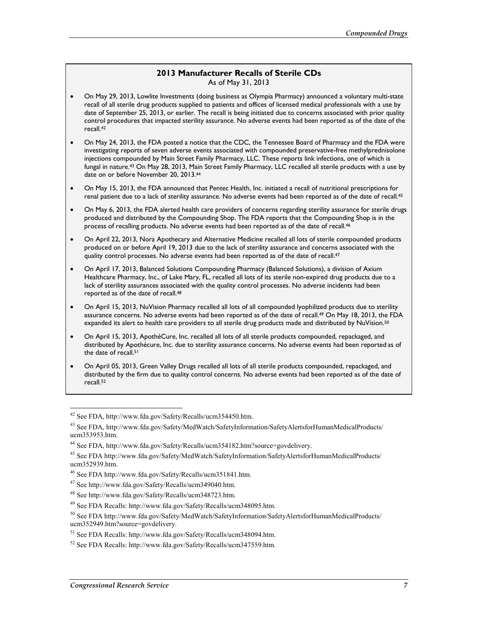#### **2013 Manufacturer Recalls of Sterile CDs** As of May 31, 2013

- On May 29, 2013, Lowlite Investments (doing business as Olympia Pharmacy) announced a voluntary multi-state recall of all sterile drug products supplied to patients and offices of licensed medical professionals with a use by date of September 25, 2013, or earlier. The recall is being initiated due to concerns associated with prior quality control procedures that impacted sterility assurance. No adverse events had been reported as of the date of the recall.42
- On May 24, 2013, the FDA posted a notice that the CDC, the Tennessee Board of Pharmacy and the FDA were investigating reports of seven adverse events associated with compounded preservative-free methylprednisolone injections compounded by Main Street Family Pharmacy, LLC. These reports link infections, one of which is fungal in nature.43 On May 28, 2013, Main Street Family Pharmacy, LLC recalled all sterile products with a use by date on or before November 20, 2013.44
- On May 15, 2013, the FDA announced that Pentec Health, Inc. initiated a recall of nutritional prescriptions for renal patient due to a lack of sterility assurance. No adverse events had been reported as of the date of recall.45
- On May 6, 2013, the FDA alerted health care providers of concerns regarding sterility assurance for sterile drugs produced and distributed by the Compounding Shop. The FDA reports that the Compounding Shop is in the process of recalling products. No adverse events had been reported as of the date of recall.<sup>46</sup>
- On April 22, 2013, Nora Apothecary and Alternative Medicine recalled all lots of sterile compounded products produced on or before April 19, 2013 due to the lack of sterility assurance and concerns associated with the quality control processes. No adverse events had been reported as of the date of recall.<sup>47</sup>
- On April 17, 2013, Balanced Solutions Compounding Pharmacy (Balanced Solutions), a division of Axium Healthcare Pharmacy, Inc., of Lake Mary, FL, recalled all lots of its sterile non-expired drug products due to a lack of sterility assurances associated with the quality control processes. No adverse incidents had been reported as of the date of recall.48
- On April 15, 2013, NuVision Pharmacy recalled all lots of all compounded lyophilized products due to sterility assurance concerns. No adverse events had been reported as of the date of recall.49 On May 18, 2013, the FDA expanded its alert to health care providers to all sterile drug products made and distributed by NuVision.<sup>50</sup>
- On April 15, 2013, ApothéCure, Inc. recalled all lots of all sterile products compounded, repackaged, and distributed by Apothécure, Inc. due to sterility assurance concerns. No adverse events had been reported as of the date of recall.<sup>51</sup>
- On April 05, 2013, Green Valley Drugs recalled all lots of all sterile products compounded, repackaged, and distributed by the firm due to quality control concerns. No adverse events had been reported as of the date of recall.52

<u>.</u>

<sup>&</sup>lt;sup>42</sup> See FDA, http://www.fda.gov/Safety/Recalls/ucm354450.htm.

<sup>43</sup> See FDA, http://www.fda.gov/Safety/MedWatch/SafetyInformation/SafetyAlertsforHumanMedicalProducts/ ucm353953.htm.

<sup>44</sup> See FDA, http://www.fda.gov/Safety/Recalls/ucm354182.htm?source=govdelivery.

<sup>45</sup> See FDA http://www.fda.gov/Safety/MedWatch/SafetyInformation/SafetyAlertsforHumanMedicalProducts/ ucm352939.htm.

<sup>46</sup> See FDA http://www.fda.gov/Safety/Recalls/ucm351841.htm.

<sup>47</sup> See http://www.fda.gov/Safety/Recalls/ucm349040.htm.

<sup>48</sup> See http://www.fda.gov/Safety/Recalls/ucm348723.htm.

<sup>49</sup> See FDA Recalls: http://www.fda.gov/Safety/Recalls/ucm348095.htm.

<sup>&</sup>lt;sup>50</sup> See FDA http://www.fda.gov/Safety/MedWatch/SafetyInformation/SafetyAlertsforHumanMedicalProducts/ ucm352949.htm?source=govdelivery.

<sup>51</sup> See FDA Recalls: http://www.fda.gov/Safety/Recalls/ucm348094.htm.

<sup>52</sup> See FDA Recalls: http://www.fda.gov/Safety/Recalls/ucm347559.htm.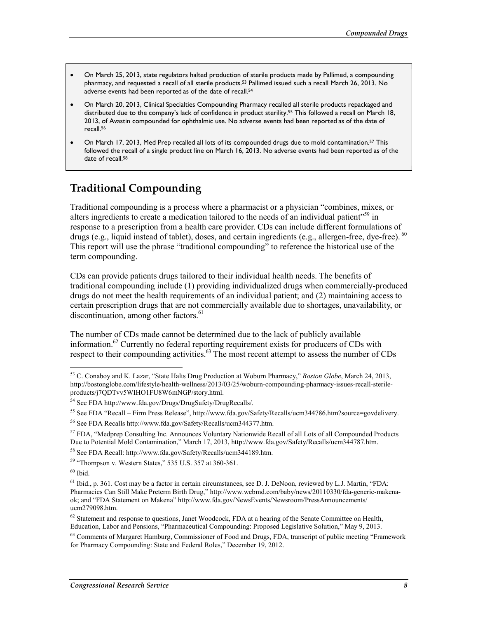- On March 25, 2013, state regulators halted production of sterile products made by Pallimed, a compounding pharmacy, and requested a recall of all sterile products.53 Pallimed issued such a recall March 26, 2013. No adverse events had been reported as of the date of recall.<sup>54</sup>
- On March 20, 2013, Clinical Specialties Compounding Pharmacy recalled all sterile products repackaged and distributed due to the company's lack of confidence in product sterility.55 This followed a recall on March 18, 2013, of Avastin compounded for ophthalmic use. No adverse events had been reported as of the date of recall.56
- On March 17, 2013, Med Prep recalled all lots of its compounded drugs due to mold contamination.57 This followed the recall of a single product line on March 16, 2013. No adverse events had been reported as of the date of recall.<sup>58</sup>

### **Traditional Compounding**

Traditional compounding is a process where a pharmacist or a physician "combines, mixes, or alters ingredients to create a medication tailored to the needs of an individual patient"<sup>59</sup> in response to a prescription from a health care provider. CDs can include different formulations of drugs (e.g., liquid instead of tablet), doses, and certain ingredients (e.g., allergen-free, dye-free). <sup>60</sup> This report will use the phrase "traditional compounding" to reference the historical use of the term compounding.

CDs can provide patients drugs tailored to their individual health needs. The benefits of traditional compounding include (1) providing individualized drugs when commercially-produced drugs do not meet the health requirements of an individual patient; and (2) maintaining access to certain prescription drugs that are not commercially available due to shortages, unavailability, or discontinuation, among other factors.<sup>61</sup>

The number of CDs made cannot be determined due to the lack of publicly available information.<sup>62</sup> Currently no federal reporting requirement exists for producers of CDs with respect to their compounding activities. $63$  The most recent attempt to assess the number of CDs

<u>.</u>

<sup>53</sup> C. Conaboy and K. Lazar, "State Halts Drug Production at Woburn Pharmacy," *Boston Globe*, March 24, 2013, http://bostonglobe.com/lifestyle/health-wellness/2013/03/25/woburn-compounding-pharmacy-issues-recall-sterileproducts/j7QDTvv5WIHO1FU8W6mNGP/story.html.

<sup>54</sup> See FDA http://www.fda.gov/Drugs/DrugSafety/DrugRecalls/.

<sup>55</sup> See FDA "Recall – Firm Press Release", http://www.fda.gov/Safety/Recalls/ucm344786.htm?source=govdelivery.

<sup>56</sup> See FDA Recalls http://www.fda.gov/Safety/Recalls/ucm344377.htm.

<sup>57</sup> FDA, "Medprep Consulting Inc. Announces Voluntary Nationwide Recall of all Lots of all Compounded Products Due to Potential Mold Contamination," March 17, 2013, http://www.fda.gov/Safety/Recalls/ucm344787.htm.

<sup>58</sup> See FDA Recall: http://www.fda.gov/Safety/Recalls/ucm344189.htm.

<sup>59 &</sup>quot;Thompson v. Western States," 535 U.S. 357 at 360-361.

 $60$  Ibid.

<sup>61</sup> Ibid., p. 361. Cost may be a factor in certain circumstances, see D. J. DeNoon, reviewed by L.J. Martin, "FDA: Pharmacies Can Still Make Preterm Birth Drug," http://www.webmd.com/baby/news/20110330/fda-generic-makenaok; and "FDA Statement on Makena" http://www.fda.gov/NewsEvents/Newsroom/PressAnnouncements/ ucm279098.htm.

 $62$  Statement and response to questions, Janet Woodcock, FDA at a hearing of the Senate Committee on Health, Education, Labor and Pensions, "Pharmaceutical Compounding: Proposed Legislative Solution," May 9, 2013.

 $63$  Comments of Margaret Hamburg, Commissioner of Food and Drugs, FDA, transcript of public meeting "Framework" for Pharmacy Compounding: State and Federal Roles," December 19, 2012.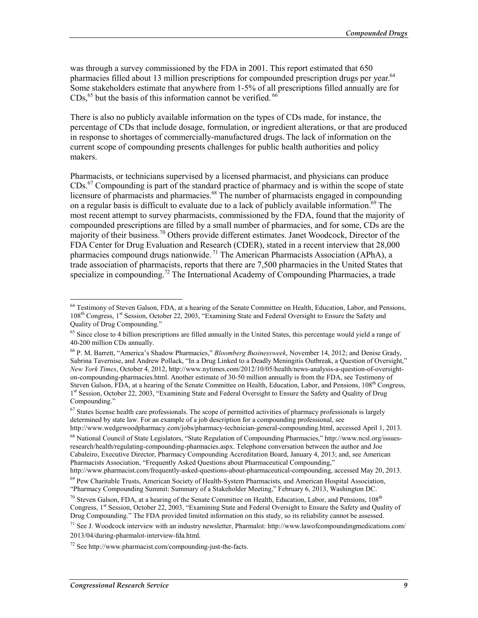was through a survey commissioned by the FDA in 2001. This report estimated that 650 pharmacies filled about 13 million prescriptions for compounded prescription drugs per year.<sup>64</sup> Some stakeholders estimate that anywhere from 1-5% of all prescriptions filled annually are for  $CDs<sub>1</sub><sup>65</sup>$  but the basis of this information cannot be verified.  $66$ 

There is also no publicly available information on the types of CDs made, for instance, the percentage of CDs that include dosage, formulation, or ingredient alterations, or that are produced in response to shortages of commercially-manufactured drugs. The lack of information on the current scope of compounding presents challenges for public health authorities and policy makers.

Pharmacists, or technicians supervised by a licensed pharmacist, and physicians can produce CDs.67 Compounding is part of the standard practice of pharmacy and is within the scope of state licensure of pharmacists and pharmacies.<sup>68</sup> The number of pharmacists engaged in compounding on a regular basis is difficult to evaluate due to a lack of publicly available information.<sup>69</sup> The most recent attempt to survey pharmacists, commissioned by the FDA, found that the majority of compounded prescriptions are filled by a small number of pharmacies, and for some, CDs are the majority of their business.70 Others provide different estimates. Janet Woodcock, Director of the FDA Center for Drug Evaluation and Research (CDER), stated in a recent interview that 28,000 pharmacies compound drugs nationwide.<sup>71</sup> The American Pharmacists Association (APhA), a trade association of pharmacists, reports that there are 7,500 pharmacies in the United States that specialize in compounding.<sup>72</sup> The International Academy of Compounding Pharmacies, a trade

<sup>&</sup>lt;sup>64</sup> Testimony of Steven Galson, FDA, at a hearing of the Senate Committee on Health, Education, Labor, and Pensions, 108<sup>th</sup> Congress, 1<sup>st</sup> Session, October 22, 2003, "Examining State and Federal Oversight to Ensure the Safety and Quality of Drug Compounding."

<sup>&</sup>lt;sup>65</sup> Since close to 4 billion prescriptions are filled annually in the United States, this percentage would yield a range of 40-200 million CDs annually.

<sup>66</sup> P. M. Barrett, "America's Shadow Pharmacies," *Bloomberg Businessweek*, November 14, 2012; and Denise Grady, Sabrina Tavernise, and Andrew Pollack, "In a Drug Linked to a Deadly Meningitis Outbreak, a Question of Oversight," *New York Times*, October 4, 2012, http://www.nytimes.com/2012/10/05/health/news-analysis-a-question-of-oversighton-compounding-pharmacies.html. Another estimate of 30-50 million annually is from the FDA, see Testimony of Steven Galson, FDA, at a hearing of the Senate Committee on Health, Education, Labor, and Pensions, 108th Congress, 1<sup>st</sup> Session, October 22, 2003, "Examining State and Federal Oversight to Ensure the Safety and Quality of Drug Compounding."

 $67$  States license health care professionals. The scope of permitted activities of pharmacy professionals is largely determined by state law. For an example of a job description for a compounding professional, see http://www.wedgewoodpharmacy.com/jobs/pharmacy-technician-general-compounding.html, accessed April 1, 2013.

<sup>68</sup> National Council of State Legislators, "State Regulation of Compounding Pharmacies," http://www.ncsl.org/issuesresearch/health/regulating-compounding-pharmacies.aspx. Telephone conversation between the author and Joe Cabaleiro, Executive Director, Pharmacy Compounding Accreditation Board, January 4, 2013; and, see American Pharmacists Association, "Frequently Asked Questions about Pharmaceutical Compounding,"

http://www.pharmacist.com/frequently-asked-questions-about-pharmaceutical-compounding, accessed May 20, 2013.

<sup>69</sup> Pew Charitable Trusts, American Society of Health-System Pharmacists, and American Hospital Association, "Pharmacy Compounding Summit: Summary of a Stakeholder Meeting," February 6, 2013, Washington DC.

 $70$  Steven Galson, FDA, at a hearing of the Senate Committee on Health, Education, Labor, and Pensions,  $108<sup>th</sup>$ Congress, 1<sup>st</sup> Session, October 22, 2003, "Examining State and Federal Oversight to Ensure the Safety and Quality of Drug Compounding." The FDA provided limited information on this study, so its reliability cannot be assessed.

<sup>&</sup>lt;sup>71</sup> See J. Woodcock interview with an industry newsletter, Pharmalot: http://www.lawofcompoundingmedications.com/ 2013/04/during-pharmalot-interview-fda.html*.*

<sup>72</sup> See http://www.pharmacist.com/compounding-just-the-facts.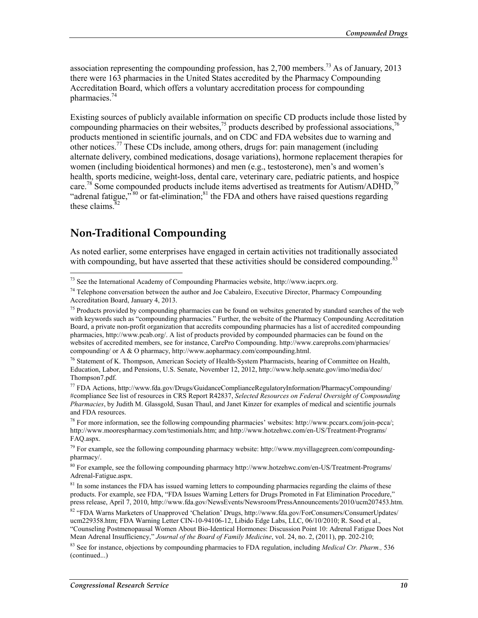association representing the compounding profession, has  $2,700$  members.<sup>73</sup> As of January, 2013 there were 163 pharmacies in the United States accredited by the Pharmacy Compounding Accreditation Board, which offers a voluntary accreditation process for compounding pharmacies. $44$ 

Existing sources of publicly available information on specific CD products include those listed by compounding pharmacies on their websites,<sup>75</sup> products described by professional associations,<sup>76</sup> products mentioned in scientific journals, and on CDC and FDA websites due to warning and other notices.<sup>77</sup> These CDs include, among others, drugs for: pain management (including alternate delivery, combined medications, dosage variations), hormone replacement therapies for women (including bioidentical hormones) and men (e.g., testosterone), men's and women's health, sports medicine, weight-loss, dental care, veterinary care, pediatric patients, and hospice care.<sup>78</sup> Some compounded products include items advertised as treatments for Autism/ADHD,<sup>79</sup> "adrenal fatigue," $80$  or fat-elimination; $81$  the FDA and others have raised questions regarding these claims  $82$ 

### **Non-Traditional Compounding**

<u>.</u>

As noted earlier, some enterprises have engaged in certain activities not traditionally associated with compounding, but have asserted that these activities should be considered compounding. $83$ 

<sup>76</sup> Statement of K. Thompson, American Society of Health-System Pharmacists, hearing of Committee on Health, Education, Labor, and Pensions, U.S. Senate, November 12, 2012, http://www.help.senate.gov/imo/media/doc/ Thompson7.pdf.

77 FDA Actions, http://www.fda.gov/Drugs/GuidanceComplianceRegulatoryInformation/PharmacyCompounding/ #compliance See list of resources in CRS Report R42837, *Selected Resources on Federal Oversight of Compounding Pharmacies*, by Judith M. Glassgold, Susan Thaul, and Janet Kinzer for examples of medical and scientific journals and FDA resources.

78 For more information, see the following compounding pharmacies' websites: http://www.pccarx.com/join-pcca/; http://www.moorespharmacy.com/testimonials.htm; and http://www.hotzehwc.com/en-US/Treatment-Programs/ FAQ.aspx.

80 For example, see the following compounding pharmacy http://www.hotzehwc.com/en-US/Treatment-Programs/ Adrenal-Fatigue.aspx.

<sup>81</sup> In some instances the FDA has issued warning letters to compounding pharmacies regarding the claims of these products. For example, see FDA, "FDA Issues Warning Letters for Drugs Promoted in Fat Elimination Procedure," press release, April 7, 2010, http://www.fda.gov/NewsEvents/Newsroom/PressAnnouncements/2010/ucm207453.htm.

82 "FDA Warns Marketers of Unapproved 'Chelation' Drugs, http://www.fda.gov/ForConsumers/ConsumerUpdates/ ucm229358.htm; FDA Warning Letter CIN-10-94106-12, Libido Edge Labs, LLC, 06/10/2010; R. Sood et al., "Counseling Postmenopausal Women About Bio-Identical Hormones: Discussion Point 10: Adrenal Fatigue Does Not Mean Adrenal Insufficiency," *Journal of the Board of Family Medicine*, vol. 24, no. 2, (2011), pp. 202-210;

83 See for instance, objections by compounding pharmacies to FDA regulation, including *Medical Ctr. Pharm.,* 536 (continued...)

 $^{73}$  See the International Academy of Compounding Pharmacies website, http://www.iacprx.org.

<sup>&</sup>lt;sup>74</sup> Telephone conversation between the author and Joe Cabaleiro, Executive Director, Pharmacy Compounding Accreditation Board, January 4, 2013.

<sup>&</sup>lt;sup>75</sup> Products provided by compounding pharmacies can be found on websites generated by standard searches of the web with keywords such as "compounding pharmacies." Further, the website of the Pharmacy Compounding Accreditation Board, a private non-profit organization that accredits compounding pharmacies has a list of accredited compounding pharmacies, http://www.pcab.org/. A list of products provided by compounded pharmacies can be found on the websites of accredited members, see for instance, CarePro Compounding. http://www.careprohs.com/pharmacies/ compounding/ or A & O pharmacy, http://www.aopharmacy.com/compounding.html.

<sup>79</sup> For example, see the following compounding pharmacy website: http://www.myvillagegreen.com/compoundingpharmacy/.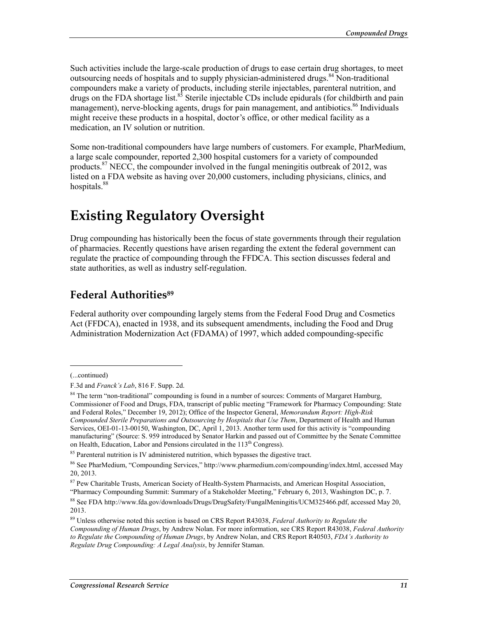Such activities include the large-scale production of drugs to ease certain drug shortages, to meet outsourcing needs of hospitals and to supply physician-administered drugs.<sup>84</sup> Non-traditional compounders make a variety of products, including sterile injectables, parenteral nutrition, and drugs on the FDA shortage list.<sup>85</sup> Sterile injectable CDs include epidurals (for childbirth and pain management), nerve-blocking agents, drugs for pain management, and antibiotics.<sup>86</sup> Individuals might receive these products in a hospital, doctor's office, or other medical facility as a medication, an IV solution or nutrition.

Some non-traditional compounders have large numbers of customers. For example, PharMedium, a large scale compounder, reported 2,300 hospital customers for a variety of compounded products.<sup>87</sup> NECC, the compounder involved in the fungal meningitis outbreak of 2012, was listed on a FDA website as having over 20,000 customers, including physicians, clinics, and hospitals.<sup>88</sup>

## **Existing Regulatory Oversight**

Drug compounding has historically been the focus of state governments through their regulation of pharmacies. Recently questions have arisen regarding the extent the federal government can regulate the practice of compounding through the FFDCA. This section discusses federal and state authorities, as well as industry self-regulation.

### **Federal Authorities89**

Federal authority over compounding largely stems from the Federal Food Drug and Cosmetics Act (FFDCA), enacted in 1938, and its subsequent amendments, including the Food and Drug Administration Modernization Act (FDAMA) of 1997, which added compounding-specific

<sup>(...</sup>continued)

F.3d and *Franck's Lab*, 816 F. Supp. 2d.

<sup>&</sup>lt;sup>84</sup> The term "non-traditional" compounding is found in a number of sources: Comments of Margaret Hamburg, Commissioner of Food and Drugs, FDA, transcript of public meeting "Framework for Pharmacy Compounding: State and Federal Roles," December 19, 2012); Office of the Inspector General, *Memorandum Report: High-Risk Compounded Sterile Preparations and Outsourcing by Hospitals that Use Them*, Department of Health and Human Services, OEI-01-13-00150, Washington, DC, April 1, 2013. Another term used for this activity is "compounding manufacturing" (Source: S. 959 introduced by Senator Harkin and passed out of Committee by the Senate Committee on Health, Education, Labor and Pensions circulated in the 113<sup>th</sup> Congress).

<sup>&</sup>lt;sup>85</sup> Parenteral nutrition is IV administered nutrition, which bypasses the digestive tract.

<sup>86</sup> See PharMedium, "Compounding Services," http://www.pharmedium.com/compounding/index.html, accessed May 20, 2013.

<sup>87</sup> Pew Charitable Trusts, American Society of Health-System Pharmacists, and American Hospital Association, "Pharmacy Compounding Summit: Summary of a Stakeholder Meeting," February 6, 2013, Washington DC, p. 7.

<sup>88</sup> See FDA http://www.fda.gov/downloads/Drugs/DrugSafety/FungalMeningitis/UCM325466.pdf, accessed May 20, 2013.

<sup>89</sup> Unless otherwise noted this section is based on CRS Report R43038, *Federal Authority to Regulate the Compounding of Human Drugs*, by Andrew Nolan. For more information, see CRS Report R43038, *Federal Authority to Regulate the Compounding of Human Drugs*, by Andrew Nolan, and CRS Report R40503, *FDA's Authority to Regulate Drug Compounding: A Legal Analysis*, by Jennifer Staman.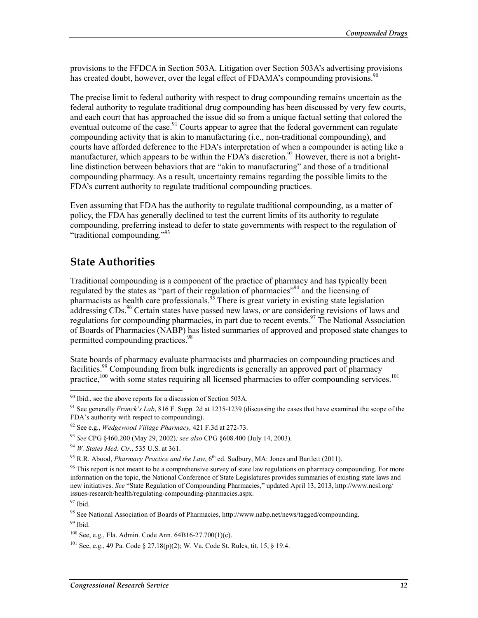provisions to the FFDCA in Section 503A. Litigation over Section 503A's advertising provisions has created doubt, however, over the legal effect of FDAMA's compounding provisions.<sup>90</sup>

The precise limit to federal authority with respect to drug compounding remains uncertain as the federal authority to regulate traditional drug compounding has been discussed by very few courts, and each court that has approached the issue did so from a unique factual setting that colored the eventual outcome of the case.<sup>91</sup> Courts appear to agree that the federal government can regulate compounding activity that is akin to manufacturing (i.e., non-traditional compounding), and courts have afforded deference to the FDA's interpretation of when a compounder is acting like a manufacturer, which appears to be within the FDA's discretion.<sup>92</sup> However, there is not a brightline distinction between behaviors that are "akin to manufacturing" and those of a traditional compounding pharmacy. As a result, uncertainty remains regarding the possible limits to the FDA's current authority to regulate traditional compounding practices.

Even assuming that FDA has the authority to regulate traditional compounding, as a matter of policy, the FDA has generally declined to test the current limits of its authority to regulate compounding, preferring instead to defer to state governments with respect to the regulation of "traditional compounding."93

#### **State Authorities**

Traditional compounding is a component of the practice of pharmacy and has typically been regulated by the states as "part of their regulation of pharmacies"94 and the licensing of pharmacists as health care professionals.<sup>95</sup> There is great variety in existing state legislation addressing CDs.<sup>96</sup> Certain states have passed new laws, or are considering revisions of laws and regulations for compounding pharmacies, in part due to recent events.<sup>97</sup> The National Association of Boards of Pharmacies (NABP) has listed summaries of approved and proposed state changes to permitted compounding practices.<sup>98</sup>

State boards of pharmacy evaluate pharmacists and pharmacies on compounding practices and facilities.<sup>99</sup> Compounding from bulk ingredients is generally an approved part of pharmacy practice,<sup>100</sup> with some states requiring all licensed pharmacies to offer compounding services.<sup>101</sup>

 $90$  Ibid., see the above reports for a discussion of Section 503A.

<sup>91</sup> See generally *Franck's Lab*, 816 F. Supp. 2d at 1235-1239 (discussing the cases that have examined the scope of the FDA's authority with respect to compounding).

<sup>92</sup> See e.g., *Wedgewood Village Pharmacy,* 421 F.3d at 272-73.

<sup>93</sup> *See* CPG §460.200 (May 29, 2002)*; see also* CPG §608.400 (July 14, 2003).

<sup>94</sup> *W. States Med. Ctr.*, 535 U.S. at 361.

<sup>&</sup>lt;sup>95</sup> R.R. Abood, *Pharmacy Practice and the Law*, 6<sup>th</sup> ed. Sudbury, MA: Jones and Bartlett (2011).

 $96$  This report is not meant to be a comprehensive survey of state law regulations on pharmacy compounding. For more information on the topic, the National Conference of State Legislatures provides summaries of existing state laws and new initiatives. *See* "State Regulation of Compounding Pharmacies," updated April 13, 2013, http://www.ncsl.org/ issues-research/health/regulating-compounding-pharmacies.aspx.

 $97$  Ibid.

<sup>98</sup> See National Association of Boards of Pharmacies, http://www.nabp.net/news/tagged/compounding.

 $99$  Ibid.

<sup>100</sup> See, e.g., Fla. Admin. Code Ann. 64B16-27.700(1)(c).

<sup>101</sup> See, e.g., 49 Pa. Code § 27.18(p)(2); W. Va. Code St. Rules, tit. 15, § 19.4.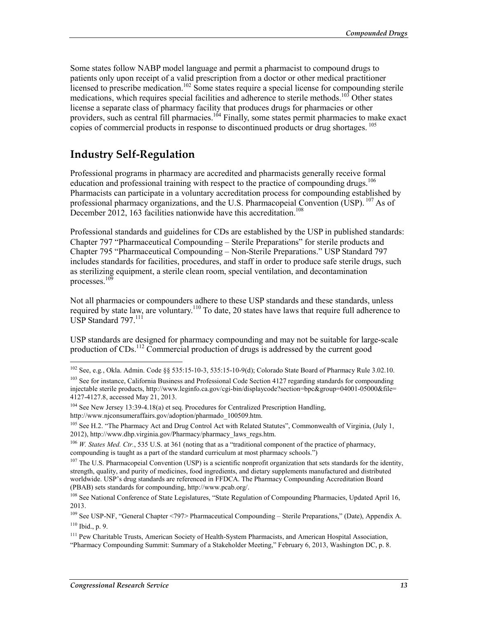Some states follow NABP model language and permit a pharmacist to compound drugs to patients only upon receipt of a valid prescription from a doctor or other medical practitioner licensed to prescribe medication.<sup>102</sup> Some states require a special license for compounding sterile medications, which requires special facilities and adherence to sterile methods.<sup>103</sup> Other states license a separate class of pharmacy facility that produces drugs for pharmacies or other providers, such as central fill pharmacies.<sup>104</sup> Finally, some states permit pharmacies to make exact copies of commercial products in response to discontinued products or drug shortages. <sup>105</sup>

#### **Industry Self-Regulation**

Professional programs in pharmacy are accredited and pharmacists generally receive formal education and professional training with respect to the practice of compounding drugs.<sup>106</sup> Pharmacists can participate in a voluntary accreditation process for compounding established by professional pharmacy organizations, and the U.S. Pharmacopeial Convention (USP).  $^{107}$  As of December 2012, 163 facilities nationwide have this accreditation.<sup>108</sup>

Professional standards and guidelines for CDs are established by the USP in published standards: Chapter 797 "Pharmaceutical Compounding – Sterile Preparations" for sterile products and Chapter 795 "Pharmaceutical Compounding – Non-Sterile Preparations." USP Standard 797 includes standards for facilities, procedures, and staff in order to produce safe sterile drugs, such as sterilizing equipment, a sterile clean room, special ventilation, and decontamination processes.<sup>109</sup>

Not all pharmacies or compounders adhere to these USP standards and these standards, unless required by state law, are voluntary.<sup>110</sup> To date, 20 states have laws that require full adherence to USP Standard 797.<sup>111</sup>

USP standards are designed for pharmacy compounding and may not be suitable for large-scale production of  $CDs$ <sup>112</sup> Commercial production of drugs is addressed by the current good

<sup>102</sup> See, e.g*.*, Okla. Admin. Code §§ 535:15-10-3, 535:15-10-9(d); Colorado State Board of Pharmacy Rule 3.02.10.

<sup>&</sup>lt;sup>103</sup> See for instance, California Business and Professional Code Section 4127 regarding standards for compounding injectable sterile products, http://www.leginfo.ca.gov/cgi-bin/displaycode?section=bpc&group=04001-05000&file= 4127-4127.8, accessed May 21, 2013.

 $104$  See New Jersey 13:39-4.18(a) et seq. Procedures for Centralized Prescription Handling, http://www.njconsumeraffairs.gov/adoption/pharmado\_100509.htm.

<sup>&</sup>lt;sup>105</sup> See H.2. "The Pharmacy Act and Drug Control Act with Related Statutes", Commonwealth of Virginia, (July 1, 2012), http://www.dhp.virginia.gov/Pharmacy/pharmacy\_laws\_regs.htm.

<sup>&</sup>lt;sup>106</sup> *W. States Med. Ctr.*, 535 U.S. at 361 (noting that as a "traditional component of the practice of pharmacy, compounding is taught as a part of the standard curriculum at most pharmacy schools.")

<sup>&</sup>lt;sup>107</sup> The U.S. Pharmacopeial Convention (USP) is a scientific nonprofit organization that sets standards for the identity, strength, quality, and purity of medicines, food ingredients, and dietary supplements manufactured and distributed worldwide. USP's drug standards are referenced in FFDCA. The Pharmacy Compounding Accreditation Board (PBAB) sets standards for compounding, http://www.pcab.org/.

<sup>&</sup>lt;sup>108</sup> See National Conference of State Legislatures, "State Regulation of Compounding Pharmacies, Updated April 16, 2013.

<sup>109</sup> See USP-NF, "General Chapter <797> Pharmaceutical Compounding – Sterile Preparations," (Date), Appendix A. 110 Ibid., p. 9.

<sup>&</sup>lt;sup>111</sup> Pew Charitable Trusts, American Society of Health-System Pharmacists, and American Hospital Association, "Pharmacy Compounding Summit: Summary of a Stakeholder Meeting," February 6, 2013, Washington DC, p. 8.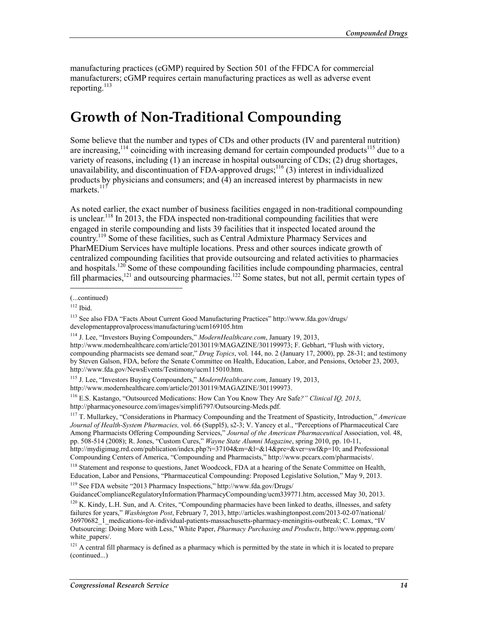manufacturing practices (cGMP) required by Section 501 of the FFDCA for commercial manufacturers; cGMP requires certain manufacturing practices as well as adverse event reporting. $113$ 

## **Growth of Non-Traditional Compounding**

Some believe that the number and types of CDs and other products (IV and parenteral nutrition) are increasing,<sup>114</sup> coinciding with increasing demand for certain compounded products<sup>115</sup> due to a variety of reasons, including (1) an increase in hospital outsourcing of CDs; (2) drug shortages, unavailability, and discontinuation of FDA-approved drugs;<sup>116</sup> (3) interest in individualized products by physicians and consumers; and (4) an increased interest by pharmacists in new markets. $117$ 

As noted earlier, the exact number of business facilities engaged in non-traditional compounding is unclear.<sup>118</sup> In 2013, the FDA inspected non-traditional compounding facilities that were engaged in sterile compounding and lists 39 facilities that it inspected located around the country.119 Some of these facilities, such as Central Admixture Pharmacy Services and PharMEDium Services have multiple locations. Press and other sources indicate growth of centralized compounding facilities that provide outsourcing and related activities to pharmacies and hospitals.<sup>120</sup> Some of these compounding facilities include compounding pharmacies, central fill pharmacies,<sup>121</sup> and outsourcing pharmacies.<sup>122</sup> Some states, but not all, permit certain types of

 $\overline{a}$ 

115 J. Lee, "Investors Buying Compounders," *ModernHealthcare.com*, January 19, 2013, http://www.modernhealthcare.com/article/20130119/MAGAZINE/301199973.

116 E.S. Kastango, "Outsourced Medications: How Can You Know They Are Safe*?" Clinical IQ, 2013*, http://pharmacyonesource.com/images/simplifi797/Outsourcing-Meds.pdf.

117 T. Mullarkey, "Considerations in Pharmacy Compounding and the Treatment of Spasticity, Introduction," *American Journal of Health-System Pharmacies,* vol. 66 (Suppl5), s2-3; V. Yancey et al., "Perceptions of Pharmaceutical Care Among Pharmacists Offering Compounding Services," *Journal of the American Pharmaceutical* Association, vol. 48, pp. 508-514 (2008); R. Jones, "Custom Cures," *Wayne State Alumni Magazine*, spring 2010, pp. 10-11, http://mydigimag.rrd.com/publication/index.php?i=37104&m=&l=&14&pre=&ver=swf&p=10; and Professional Compounding Centers of America, "Compounding and Pharmacists," http://www.pccarx.com/pharmacists/.

<sup>118</sup> Statement and response to questions, Janet Woodcock, FDA at a hearing of the Senate Committee on Health, Education, Labor and Pensions, "Pharmaceutical Compounding: Proposed Legislative Solution," May 9, 2013.

119 See FDA website "2013 Pharmacy Inspections," http://www.fda.gov/Drugs/

GuidanceComplianceRegulatoryInformation/PharmacyCompounding/ucm339771.htm, accessed May 30, 2013.

<sup>(...</sup>continued)

 $112$  Ibid.

<sup>113</sup> See also FDA "Facts About Current Good Manufacturing Practices" http://www.fda.gov/drugs/ developmentapprovalprocess/manufacturing/ucm169105.htm

<sup>114</sup> J. Lee, "Investors Buying Compounders," *ModernHealthcare.com*, January 19, 2013,

http://www.modernhealthcare.com/article/20130119/MAGAZINE/301199973; F. Gebhart, "Flush with victory, compounding pharmacists see demand soar," *Drug Topics*, vol. 144, no. 2 (January 17, 2000), pp. 28-31; and testimony by Steven Galson, FDA, before the Senate Committee on Health, Education, Labor, and Pensions, October 23, 2003, http://www.fda.gov/NewsEvents/Testimony/ucm115010.htm.

 $120$  K. Kindy, L.H. Sun, and A. Crites, "Compounding pharmacies have been linked to deaths, illnesses, and safety failures for years," *Washington Post*, February 7, 2013, http://articles.washingtonpost.com/2013-02-07/national/ 36970682\_1\_medications-for-individual-patients-massachusetts-pharmacy-meningitis-outbreak; C. Lomax, "IV Outsourcing: Doing More with Less," White Paper, *Pharmacy Purchasing and Products*, http://www.pppmag.com/ white\_papers/.

 $121$  A central fill pharmacy is defined as a pharmacy which is permitted by the state in which it is located to prepare (continued...)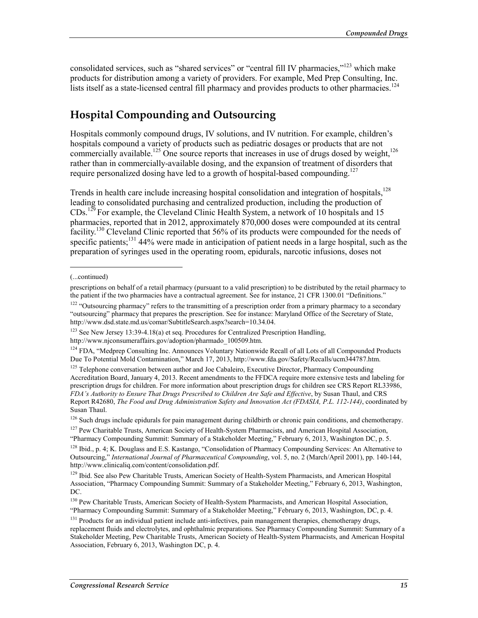consolidated services, such as "shared services" or "central fill IV pharmacies,"<sup>123</sup> which make products for distribution among a variety of providers. For example, Med Prep Consulting, Inc. lists itself as a state-licensed central fill pharmacy and provides products to other pharmacies.<sup>124</sup>

## **Hospital Compounding and Outsourcing**

Hospitals commonly compound drugs, IV solutions, and IV nutrition. For example, children's hospitals compound a variety of products such as pediatric dosages or products that are not commercially available.<sup>125</sup> One source reports that increases in use of drugs dosed by weight,<sup>126</sup> rather than in commercially-available dosing, and the expansion of treatment of disorders that require personalized dosing have led to a growth of hospital-based compounding.<sup>127</sup>

Trends in health care include increasing hospital consolidation and integration of hospitals,<sup>128</sup> leading to consolidated purchasing and centralized production, including the production of CDs.129 For example, the Cleveland Clinic Health System, a network of 10 hospitals and 15 pharmacies, reported that in 2012, approximately 870,000 doses were compounded at its central facility.<sup>130</sup> Cleveland Clinic reported that 56% of its products were compounded for the needs of specific patients;<sup>131</sup> 44% were made in anticipation of patient needs in a large hospital, such as the preparation of syringes used in the operating room, epidurals, narcotic infusions, doses not

 $\overline{a}$ 

<sup>(...</sup>continued)

prescriptions on behalf of a retail pharmacy (pursuant to a valid prescription) to be distributed by the retail pharmacy to the patient if the two pharmacies have a contractual agreement. See for instance, 21 CFR 1300.01 "Definitions."

<sup>&</sup>lt;sup>122</sup> "Outsourcing pharmacy" refers to the transmitting of a prescription order from a primary pharmacy to a secondary "outsourcing" pharmacy that prepares the prescription. See for instance: Maryland Office of the Secretary of State, http://www.dsd.state.md.us/comar/SubtitleSearch.aspx?search=10.34.04.

<sup>&</sup>lt;sup>123</sup> See New Jersey 13:39-4.18(a) et seq. Procedures for Centralized Prescription Handling, http://www.njconsumeraffairs.gov/adoption/pharmado\_100509.htm.

<sup>&</sup>lt;sup>124</sup> FDA, "Medprep Consulting Inc. Announces Voluntary Nationwide Recall of all Lots of all Compounded Products Due To Potential Mold Contamination," March 17, 2013, http://www.fda.gov/Safety/Recalls/ucm344787.htm.

<sup>&</sup>lt;sup>125</sup> Telephone conversation between author and Joe Cabaleiro, Executive Director, Pharmacy Compounding Accreditation Board, January 4, 2013. Recent amendments to the FFDCA require more extensive tests and labeling for prescription drugs for children. For more information about prescription drugs for children see CRS Report RL33986, *FDA's Authority to Ensure That Drugs Prescribed to Children Are Safe and Effective*, by Susan Thaul, and CRS Report R42680, *The Food and Drug Administration Safety and Innovation Act (FDASIA, P.L. 112-144)*, coordinated by Susan Thaul.

<sup>&</sup>lt;sup>126</sup> Such drugs include epidurals for pain management during childbirth or chronic pain conditions, and chemotherapy.

<sup>&</sup>lt;sup>127</sup> Pew Charitable Trusts, American Society of Health-System Pharmacists, and American Hospital Association, "Pharmacy Compounding Summit: Summary of a Stakeholder Meeting," February 6, 2013, Washington DC, p. 5.

<sup>&</sup>lt;sup>128</sup> Ibid., p. 4; K. Douglass and E.S. Kastango, "Consolidation of Pharmacy Compounding Services: An Alternative to Outsourcing," *International Journal of Pharmaceutical Compounding*, vol. 5, no. 2 (March/April 2001), pp. 140-144, http://www.clinicaliq.com/content/consolidation.pdf.

<sup>&</sup>lt;sup>129</sup> Ibid. See also Pew Charitable Trusts, American Society of Health-System Pharmacists, and American Hospital Association, "Pharmacy Compounding Summit: Summary of a Stakeholder Meeting," February 6, 2013, Washington, DC.

<sup>&</sup>lt;sup>130</sup> Pew Charitable Trusts, American Society of Health-System Pharmacists, and American Hospital Association, "Pharmacy Compounding Summit: Summary of a Stakeholder Meeting," February 6, 2013, Washington, DC, p. 4.

<sup>&</sup>lt;sup>131</sup> Products for an individual patient include anti-infectives, pain management therapies, chemotherapy drugs, replacement fluids and electrolytes, and ophthalmic preparations. See Pharmacy Compounding Summit: Summary of a Stakeholder Meeting, Pew Charitable Trusts, American Society of Health-System Pharmacists, and American Hospital Association, February 6, 2013, Washington DC, p. 4.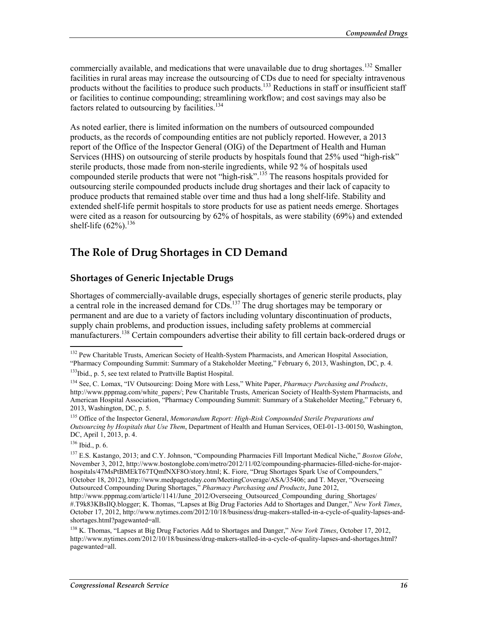commercially available, and medications that were unavailable due to drug shortages.<sup>132</sup> Smaller facilities in rural areas may increase the outsourcing of CDs due to need for specialty intravenous products without the facilities to produce such products.<sup>133</sup> Reductions in staff or insufficient staff or facilities to continue compounding; streamlining workflow; and cost savings may also be factors related to outsourcing by facilities.<sup>134</sup>

As noted earlier, there is limited information on the numbers of outsourced compounded products, as the records of compounding entities are not publicly reported. However, a 2013 report of the Office of the Inspector General (OIG) of the Department of Health and Human Services (HHS) on outsourcing of sterile products by hospitals found that 25% used "high-risk" sterile products, those made from non-sterile ingredients, while 92 % of hospitals used compounded sterile products that were not "high-risk".<sup>135</sup> The reasons hospitals provided for outsourcing sterile compounded products include drug shortages and their lack of capacity to produce products that remained stable over time and thus had a long shelf-life. Stability and extended shelf-life permit hospitals to store products for use as patient needs emerge. Shortages were cited as a reason for outsourcing by  $62\%$  of hospitals, as were stability  $(69\%)$  and extended shelf-life  $(62\%)$ <sup>136</sup>

#### **The Role of Drug Shortages in CD Demand**

#### **Shortages of Generic Injectable Drugs**

Shortages of commercially-available drugs, especially shortages of generic sterile products, play a central role in the increased demand for CDs.<sup>137</sup> The drug shortages may be temporary or permanent and are due to a variety of factors including voluntary discontinuation of products, supply chain problems, and production issues, including safety problems at commercial manufacturers.<sup>138</sup> Certain compounders advertise their ability to fill certain back-ordered drugs or

<sup>&</sup>lt;sup>132</sup> Pew Charitable Trusts, American Society of Health-System Pharmacists, and American Hospital Association, "Pharmacy Compounding Summit: Summary of a Stakeholder Meeting," February 6, 2013, Washington, DC, p. 4.

<sup>&</sup>lt;sup>133</sup>Ibid., p. 5, see text related to Prattville Baptist Hospital.

<sup>134</sup> See, C. Lomax, "IV Outsourcing: Doing More with Less," White Paper, *Pharmacy Purchasing and Products*, http://www.pppmag.com/white\_papers/; Pew Charitable Trusts, American Society of Health-System Pharmacists, and American Hospital Association, "Pharmacy Compounding Summit: Summary of a Stakeholder Meeting," February 6, 2013, Washington, DC, p. 5.

<sup>135</sup> Office of the Inspector General, *Memorandum Report: High-Risk Compounded Sterile Preparations and Outsourcing by Hospitals that Use Them*, Department of Health and Human Services, OEI-01-13-00150, Washington, DC, April 1, 2013, p. 4.

 $136$  Ibid., p. 6.

<sup>137</sup> E.S. Kastango, 2013; and C.Y. Johnson, "Compounding Pharmacies Fill Important Medical Niche," *Boston Globe*, November 3, 2012, http://www.bostonglobe.com/metro/2012/11/02/compounding-pharmacies-filled-niche-for-majorhospitals/47MsPtBMEkT67TQmfNXF8O/story.html; K. Fiore, "Drug Shortages Spark Use of Compounders," (October 18, 2012), http://www.medpagetoday.com/MeetingCoverage/ASA/35406; and T. Meyer, "Overseeing Outsourced Compounding During Shortages," *Pharmacy Purchasing and Products*, June 2012,

http://www.pppmag.com/article/1141/June\_2012/Overseeing\_Outsourced\_Compounding\_during\_Shortages/ #.T9k83KBsIlQ.blogger; K. Thomas, "Lapses at Big Drug Factories Add to Shortages and Danger," *New York Times*, October 17, 2012, http://www.nytimes.com/2012/10/18/business/drug-makers-stalled-in-a-cycle-of-quality-lapses-andshortages.html?pagewanted=all.

<sup>138</sup> K. Thomas, "Lapses at Big Drug Factories Add to Shortages and Danger," *New York Times*, October 17, 2012, http://www.nytimes.com/2012/10/18/business/drug-makers-stalled-in-a-cycle-of-quality-lapses-and-shortages.html? pagewanted=all.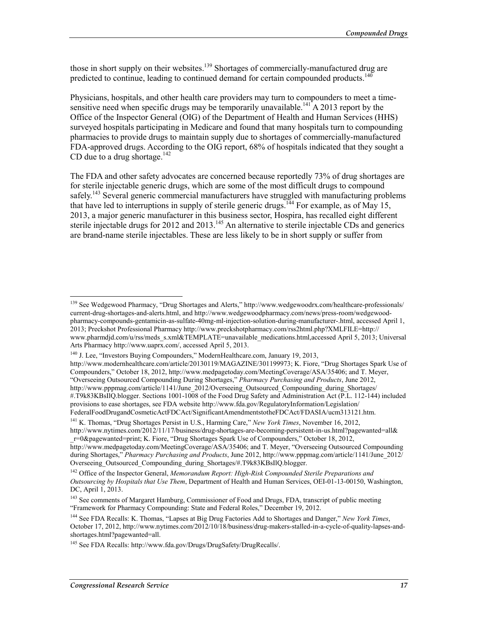those in short supply on their websites.<sup>139</sup> Shortages of commercially-manufactured drug are predicted to continue, leading to continued demand for certain compounded products.<sup>140</sup>

Physicians, hospitals, and other health care providers may turn to compounders to meet a timesensitive need when specific drugs may be temporarily unavailable.<sup>141</sup> A 2013 report by the Office of the Inspector General (OIG) of the Department of Health and Human Services (HHS) surveyed hospitals participating in Medicare and found that many hospitals turn to compounding pharmacies to provide drugs to maintain supply due to shortages of commercially-manufactured FDA-approved drugs. According to the OIG report, 68% of hospitals indicated that they sought a CD due to a drug shortage. $142$ 

The FDA and other safety advocates are concerned because reportedly 73% of drug shortages are for sterile injectable generic drugs, which are some of the most difficult drugs to compound safely.<sup>143</sup> Several generic commercial manufacturers have struggled with manufacturing problems that have led to interruptions in supply of sterile generic drugs.<sup>144</sup> For example, as of May 15, 2013, a major generic manufacturer in this business sector, Hospira, has recalled eight different sterile injectable drugs for 2012 and 2013.<sup>145</sup> An alternative to sterile injectable CDs and generics are brand-name sterile injectables. These are less likely to be in short supply or suffer from

<sup>&</sup>lt;sup>139</sup> See Wedgewood Pharmacy, "Drug Shortages and Alerts," http://www.wedgewoodrx.com/healthcare-professionals/ current-drug-shortages-and-alerts.html, and http://www.wedgewoodpharmacy.com/news/press-room/wedgewoodpharmacy-compounds-gentamicin-as-sulfate-40mg-ml-injection-solution-during-manufacturer-.html, accessed April 1, 2013; Preckshot Professional Pharmacy http://www.preckshotpharmacy.com/rss2html.php?XMLFILE=http:// www.pharmdjd.com/u/rss/meds\_s.xml&TEMPLATE=unavailable\_medications.html,accessed April 5, 2013; Universal Arts Pharmacy http://www.uaprx.com/, accessed April 5, 2013.

<sup>&</sup>lt;sup>140</sup> J. Lee, "Investors Buying Compounders," ModernHealthcare.com, January 19, 2013,

http://www.modernhealthcare.com/article/20130119/MAGAZINE/301199973; K. Fiore, "Drug Shortages Spark Use of Compounders," October 18, 2012, http://www.medpagetoday.com/MeetingCoverage/ASA/35406; and T. Meyer, "Overseeing Outsourced Compounding During Shortages," *Pharmacy Purchasing and Products*, June 2012,

http://www.pppmag.com/article/1141/June\_2012/Overseeing\_Outsourced\_Compounding\_during\_Shortages/ #.T9k83KBsIlQ.blogger. Sections 1001-1008 of the Food Drug Safety and Administration Act (P.L. 112-144) included provisions to ease shortages, see FDA website http://www.fda.gov/RegulatoryInformation/Legislation/ FederalFoodDrugandCosmeticActFDCAct/SignificantAmendmentstotheFDCAct/FDASIA/ucm313121.htm.

<sup>141</sup> K. Thomas, "Drug Shortages Persist in U.S., Harming Care," *New York Times*, November 16, 2012, http://www.nytimes.com/2012/11/17/business/drug-shortages-are-becoming-persistent-in-us.html?pagewanted=all&

\_r=0&pagewanted=print; K. Fiore, "Drug Shortages Spark Use of Compounders," October 18, 2012, http://www.medpagetoday.com/MeetingCoverage/ASA/35406; and T. Meyer, "Overseeing Outsourced Compounding during Shortages," *Pharmacy Purchasing and Products*, June 2012, http://www.pppmag.com/article/1141/June 2012/ Overseeing\_Outsourced\_Compounding\_during\_Shortages/#.T9k83KBsIlQ.blogger.

<sup>142</sup> Office of the Inspector General, *Memorandum Report: High-Risk Compounded Sterile Preparations and Outsourcing by Hospitals that Use Them*, Department of Health and Human Services, OEI-01-13-00150, Washington, DC, April 1, 2013.

<sup>&</sup>lt;sup>143</sup> See comments of Margaret Hamburg, Commissioner of Food and Drugs, FDA, transcript of public meeting "Framework for Pharmacy Compounding: State and Federal Roles," December 19, 2012.

<sup>144</sup> See FDA Recalls: K. Thomas, "Lapses at Big Drug Factories Add to Shortages and Danger," *New York Times*, October 17, 2012, http://www.nytimes.com/2012/10/18/business/drug-makers-stalled-in-a-cycle-of-quality-lapses-andshortages.html?pagewanted=all.

<sup>145</sup> See FDA Recalls: http://www.fda.gov/Drugs/DrugSafety/DrugRecalls/.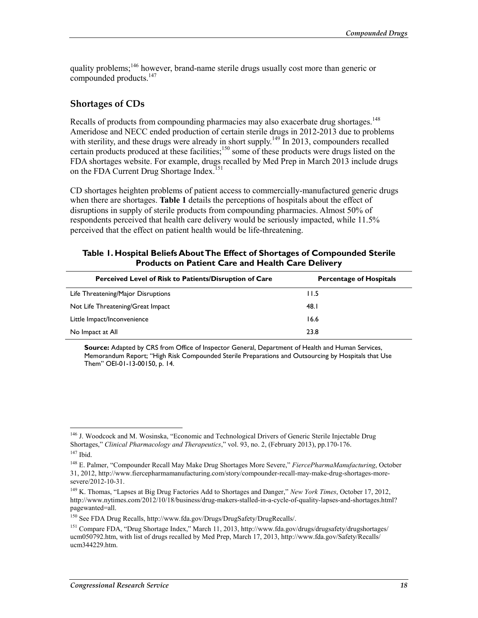quality problems;<sup>146</sup> however, brand-name sterile drugs usually cost more than generic or compounded products.<sup>147</sup>

#### **Shortages of CDs**

Recalls of products from compounding pharmacies may also exacerbate drug shortages.<sup>148</sup> Ameridose and NECC ended production of certain sterile drugs in 2012-2013 due to problems with sterility, and these drugs were already in short supply.<sup>149</sup> In 2013, compounders recalled certain products produced at these facilities;<sup>150</sup> some of these products were drugs listed on the FDA shortages website. For example, drugs recalled by Med Prep in March 2013 include drugs on the FDA Current Drug Shortage Index.<sup>151</sup>

CD shortages heighten problems of patient access to commercially-manufactured generic drugs when there are shortages. **Table 1** details the perceptions of hospitals about the effect of disruptions in supply of sterile products from compounding pharmacies. Almost 50% of respondents perceived that health care delivery would be seriously impacted, while 11.5% perceived that the effect on patient health would be life-threatening.

#### **Table 1. Hospital Beliefs About The Effect of Shortages of Compounded Sterile Products on Patient Care and Health Care Delivery**

| Perceived Level of Risk to Patients/Disruption of Care | <b>Percentage of Hospitals</b> |
|--------------------------------------------------------|--------------------------------|
| Life Threatening/Major Disruptions                     | 11.5                           |
| Not Life Threatening/Great Impact                      | 48. I                          |
| Little Impact/Inconvenience                            | 16.6                           |
| No Impact at All                                       | 23.8                           |

**Source:** Adapted by CRS from Office of Inspector General, Department of Health and Human Services, Memorandum Report; "High Risk Compounded Sterile Preparations and Outsourcing by Hospitals that Use Them" OEI-01-13-00150, p. 14.

<u>.</u>

<sup>&</sup>lt;sup>146</sup> J. Woodcock and M. Wosinska, "Economic and Technological Drivers of Generic Sterile Injectable Drug Shortages," *Clinical Pharmacology and Therapeutics*," vol. 93, no. 2, (February 2013), pp.170-176.  $147$  Ibid.

<sup>148</sup> E. Palmer, "Compounder Recall May Make Drug Shortages More Severe," *FiercePharmaManufacturing*, October 31, 2012, http://www.fiercepharmamanufacturing.com/story/compounder-recall-may-make-drug-shortages-moresevere/2012-10-31.

<sup>149</sup> K. Thomas, "Lapses at Big Drug Factories Add to Shortages and Danger," *New York Times*, October 17, 2012, http://www.nytimes.com/2012/10/18/business/drug-makers-stalled-in-a-cycle-of-quality-lapses-and-shortages.html? pagewanted=all.

<sup>150</sup> See FDA Drug Recalls, http://www.fda.gov/Drugs/DrugSafety/DrugRecalls/.

<sup>151</sup> Compare FDA, "Drug Shortage Index," March 11, 2013, http://www.fda.gov/drugs/drugsafety/drugshortages/ ucm050792.htm, with list of drugs recalled by Med Prep, March 17, 2013, http://www.fda.gov/Safety/Recalls/ ucm344229.htm.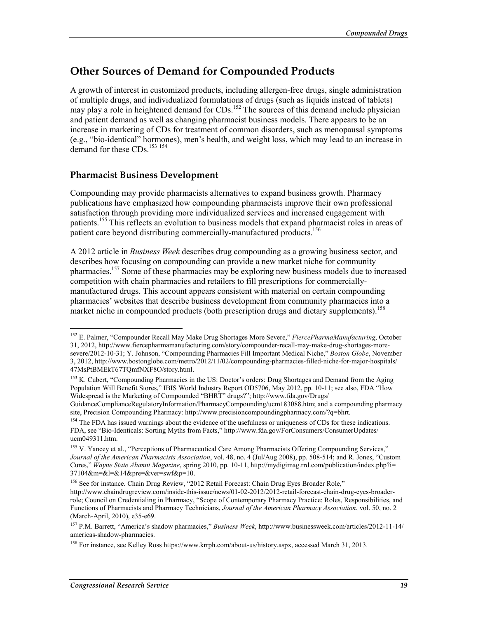## **Other Sources of Demand for Compounded Products**

A growth of interest in customized products, including allergen-free drugs, single administration of multiple drugs, and individualized formulations of drugs (such as liquids instead of tablets) may play a role in heightened demand for CDs.<sup>152</sup> The sources of this demand include physician and patient demand as well as changing pharmacist business models. There appears to be an increase in marketing of CDs for treatment of common disorders, such as menopausal symptoms (e.g., "bio-identical" hormones), men's health, and weight loss, which may lead to an increase in demand for these CDs.<sup>153 154</sup>

#### **Pharmacist Business Development**

Compounding may provide pharmacists alternatives to expand business growth. Pharmacy publications have emphasized how compounding pharmacists improve their own professional satisfaction through providing more individualized services and increased engagement with patients.155 This reflects an evolution to business models that expand pharmacist roles in areas of patient care beyond distributing commercially-manufactured products.<sup>156</sup>

A 2012 article in *Business Week* describes drug compounding as a growing business sector, and describes how focusing on compounding can provide a new market niche for community pharmacies.157 Some of these pharmacies may be exploring new business models due to increased competition with chain pharmacies and retailers to fill prescriptions for commerciallymanufactured drugs. This account appears consistent with material on certain compounding pharmacies' websites that describe business development from community pharmacies into a market niche in compounded products (both prescription drugs and dietary supplements).<sup>158</sup>

GuidanceComplianceRegulatoryInformation/PharmacyCompounding/ucm183088.htm; and a compounding pharmacy site, Precision Compounding Pharmacy: http://www.precisioncompoundingpharmacy.com/?q=bhrt.

<sup>154</sup> The FDA has issued warnings about the evidence of the usefulness or uniqueness of CDs for these indications. FDA, see "Bio-Identicals: Sorting Myths from Facts," http://www.fda.gov/ForConsumers/ConsumerUpdates/ ucm049311.htm.

<sup>156</sup> See for instance. Chain Drug Review, "2012 Retail Forecast: Chain Drug Eyes Broader Role," http://www.chaindrugreview.com/inside-this-issue/news/01-02-2012/2012-retail-forecast-chain-drug-eyes-broaderrole; Council on Credentialing in Pharmacy, "Scope of Contemporary Pharmacy Practice: Roles, Responsibilities, and Functions of Pharmacists and Pharmacy Technicians, *Journal of the American Pharmacy Association*, vol. 50, no. 2 (March-April, 2010), e35-e69.

<sup>1</sup> 152 E. Palmer, "Compounder Recall May Make Drug Shortages More Severe," *FiercePharmaManufacturing*, October 31, 2012, http://www.fiercepharmamanufacturing.com/story/compounder-recall-may-make-drug-shortages-moresevere/2012-10-31; Y. Johnson, "Compounding Pharmacies Fill Important Medical Niche," *Boston Globe*, November 3, 2012, http://www.bostonglobe.com/metro/2012/11/02/compounding-pharmacies-filled-niche-for-major-hospitals/ 47MsPtBMEkT67TQmfNXF8O/story.html.

<sup>&</sup>lt;sup>153</sup> K. Cubert, "Compounding Pharmacies in the US: Doctor's orders: Drug Shortages and Demand from the Aging Population Will Benefit Stores," IBIS World Industry Report OD5706, May 2012, pp. 10-11; see also, FDA "How Widespread is the Marketing of Compounded "BHRT" drugs?"; http://www.fda.gov/Drugs/

<sup>&</sup>lt;sup>155</sup> V. Yancey et al., "Perceptions of Pharmaceutical Care Among Pharmacists Offering Compounding Services," *Journal of the American Pharmacists Association*, vol. 48, no. 4 (Jul/Aug 2008), pp. 508-514; and R. Jones, "Custom Cures," *Wayne State Alumni Magazine*, spring 2010, pp. 10-11, http://mydigimag.rrd.com/publication/index.php?i= 37104&m=&l=&14&pre=&ver=swf&p=10.

<sup>157</sup> P.M. Barrett, "America's shadow pharmacies," *Business Week*, http://www.businessweek.com/articles/2012-11-14/ americas-shadow-pharmacies.

<sup>158</sup> For instance, see Kelley Ross https://www.krrph.com/about-us/history.aspx, accessed March 31, 2013.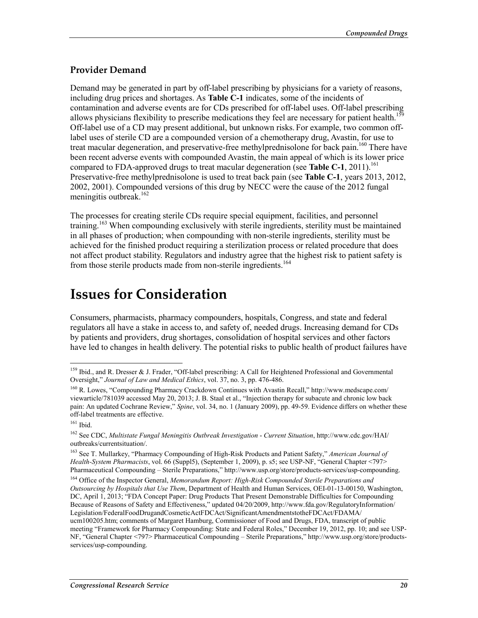#### **Provider Demand**

Demand may be generated in part by off-label prescribing by physicians for a variety of reasons, including drug prices and shortages. As **Table C-1** indicates, some of the incidents of contamination and adverse events are for CDs prescribed for off-label uses. Off-label prescribing allows physicians flexibility to prescribe medications they feel are necessary for patient health.<sup>159</sup> Off-label use of a CD may present additional, but unknown risks. For example, two common offlabel uses of sterile CD are a compounded version of a chemotherapy drug, Avastin, for use to treat macular degeneration, and preservative-free methylprednisolone for back pain.<sup>160</sup> There have been recent adverse events with compounded Avastin, the main appeal of which is its lower price compared to FDA-approved drugs to treat macular degeneration (see **Table C-1**, 2011).<sup>161</sup> Preservative-free methylprednisolone is used to treat back pain (see **Table C-1**, years 2013, 2012, 2002, 2001). Compounded versions of this drug by NECC were the cause of the 2012 fungal meningitis outbreak.<sup>162</sup>

The processes for creating sterile CDs require special equipment, facilities, and personnel training.163 When compounding exclusively with sterile ingredients, sterility must be maintained in all phases of production; when compounding with non-sterile ingredients, sterility must be achieved for the finished product requiring a sterilization process or related procedure that does not affect product stability. Regulators and industry agree that the highest risk to patient safety is from those sterile products made from non-sterile ingredients.<sup>164</sup>

## **Issues for Consideration**

Consumers, pharmacists, pharmacy compounders, hospitals, Congress, and state and federal regulators all have a stake in access to, and safety of, needed drugs. Increasing demand for CDs by patients and providers, drug shortages, consolidation of hospital services and other factors have led to changes in health delivery. The potential risks to public health of product failures have

<sup>&</sup>lt;u>.</u> 159 Ibid., and R. Dresser & J. Frader, "Off-label prescribing: A Call for Heightened Professional and Governmental Oversight," *Journal of Law and Medical Ethics*, vol. 37, no. 3, pp. 476-486.

<sup>160</sup> R. Lowes, "Compounding Pharmacy Crackdown Continues with Avastin Recall," http://www.medscape.com/ viewarticle/781039 accessed May 20, 2013; J. B. Staal et al., "Injection therapy for subacute and chronic low back pain: An updated Cochrane Review," *Spine*, vol. 34, no. 1 (January 2009), pp. 49-59. Evidence differs on whether these off-label treatments are effective.

<sup>161</sup> Ibid.

<sup>162</sup> See CDC, *Multistate Fungal Meningitis Outbreak Investigation* - *Current Situation*, http://www.cdc.gov/HAI/ outbreaks/currentsituation/.

<sup>163</sup> See T. Mullarkey, "Pharmacy Compounding of High-Risk Products and Patient Safety," *American Journal of Health-System Pharmacists*, vol. 66 (Suppl5), (September 1, 2009), p. s5; see USP-NF, "General Chapter <797> Pharmaceutical Compounding – Sterile Preparations," http://www.usp.org/store/products-services/usp-compounding.

<sup>164</sup> Office of the Inspector General, *Memorandum Report: High-Risk Compounded Sterile Preparations and Outsourcing by Hospitals that Use Them*, Department of Health and Human Services, OEI-01-13-00150, Washington, DC, April 1, 2013; "FDA Concept Paper: Drug Products That Present Demonstrable Difficulties for Compounding Because of Reasons of Safety and Effectiveness," updated 04/20/2009, http://www.fda.gov/RegulatoryInformation/ Legislation/FederalFoodDrugandCosmeticActFDCAct/SignificantAmendmentstotheFDCAct/FDAMA/ ucm100205.htm; comments of Margaret Hamburg, Commissioner of Food and Drugs, FDA, transcript of public meeting "Framework for Pharmacy Compounding: State and Federal Roles," December 19, 2012, pp. 10; and see USP-NF, "General Chapter <797> Pharmaceutical Compounding – Sterile Preparations," http://www.usp.org/store/productsservices/usp-compounding.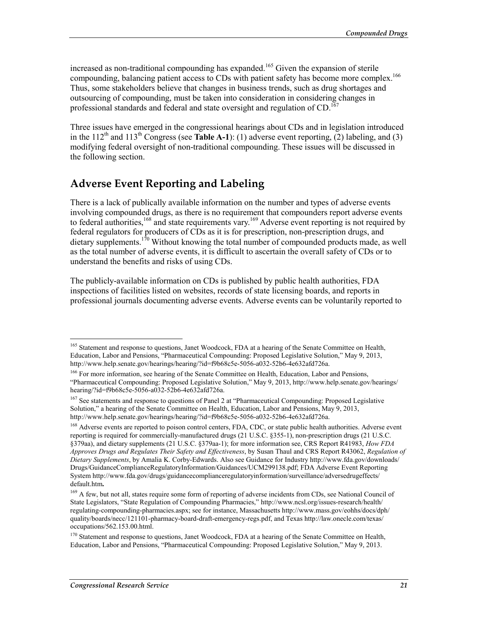increased as non-traditional compounding has expanded.<sup>165</sup> Given the expansion of sterile compounding, balancing patient access to CDs with patient safety has become more complex.<sup>166</sup> Thus, some stakeholders believe that changes in business trends, such as drug shortages and outsourcing of compounding, must be taken into consideration in considering changes in professional standards and federal and state oversight and regulation of  $CD$ .<sup>167</sup>

Three issues have emerged in the congressional hearings about CDs and in legislation introduced in the 112<sup>th</sup> and 113<sup>th</sup> Congress (see **Table A-1**): (1) adverse event reporting, (2) labeling, and (3) modifying federal oversight of non-traditional compounding. These issues will be discussed in the following section.

### **Adverse Event Reporting and Labeling**

There is a lack of publically available information on the number and types of adverse events involving compounded drugs, as there is no requirement that compounders report adverse events to federal authorities,<sup>168</sup> and state requirements vary.<sup>169</sup> Adverse event reporting is not required by federal regulators for producers of CDs as it is for prescription, non-prescription drugs, and dietary supplements.<sup>170</sup> Without knowing the total number of compounded products made, as well as the total number of adverse events, it is difficult to ascertain the overall safety of CDs or to understand the benefits and risks of using CDs.

The publicly-available information on CDs is published by public health authorities, FDA inspections of facilities listed on websites, records of state licensing boards, and reports in professional journals documenting adverse events. Adverse events can be voluntarily reported to

<sup>1</sup> <sup>165</sup> Statement and response to questions, Janet Woodcock, FDA at a hearing of the Senate Committee on Health, Education, Labor and Pensions, "Pharmaceutical Compounding: Proposed Legislative Solution," May 9, 2013, http://www.help.senate.gov/hearings/hearing/?id=f9b68c5e-5056-a032-52b6-4e632afd726a.

<sup>&</sup>lt;sup>166</sup> For more information, see hearing of the Senate Committee on Health, Education, Labor and Pensions, "Pharmaceutical Compounding: Proposed Legislative Solution," May 9, 2013, http://www.help.senate.gov/hearings/ hearing/?id=f9b68c5e-5056-a032-52b6-4e632afd726a.

<sup>167</sup> See statements and response to questions of Panel 2 at "Pharmaceutical Compounding: Proposed Legislative Solution," a hearing of the Senate Committee on Health, Education, Labor and Pensions, May 9, 2013, http://www.help.senate.gov/hearings/hearing/?id=f9b68c5e-5056-a032-52b6-4e632afd726a.

<sup>&</sup>lt;sup>168</sup> Adverse events are reported to poison control centers, FDA, CDC, or state public health authorities. Adverse event reporting is required for commercially-manufactured drugs (21 U.S.C. §355-1), non-prescription drugs (21 U.S.C. §379aa), and dietary supplements (21 U.S.C. §379aa-1); for more information see, CRS Report R41983, *How FDA Approves Drugs and Regulates Their Safety and Effectiveness*, by Susan Thaul and CRS Report R43062, *Regulation of Dietary Supplements*, by Amalia K. Corby-Edwards. Also see Guidance for Industry http://www.fda.gov/downloads/ Drugs/GuidanceComplianceRegulatoryInformation/Guidances/UCM299138.pdf; FDA Adverse Event Reporting System http://www.fda.gov/drugs/guidancecomplianceregulatoryinformation/surveillance/adversedrugeffects/ default.htm**.**

<sup>&</sup>lt;sup>169</sup> A few, but not all, states require some form of reporting of adverse incidents from CDs, see National Council of State Legislators, "State Regulation of Compounding Pharmacies," http://www.ncsl.org/issues-research/health/ regulating-compounding-pharmacies.aspx; see for instance, Massachusetts http://www.mass.gov/eohhs/docs/dph/ quality/boards/necc/121101-pharmacy-board-draft-emergency-regs.pdf, and Texas http://law.onecle.com/texas/ occupations/562.153.00.html.

<sup>&</sup>lt;sup>170</sup> Statement and response to questions, Janet Woodcock, FDA at a hearing of the Senate Committee on Health, Education, Labor and Pensions, "Pharmaceutical Compounding: Proposed Legislative Solution," May 9, 2013.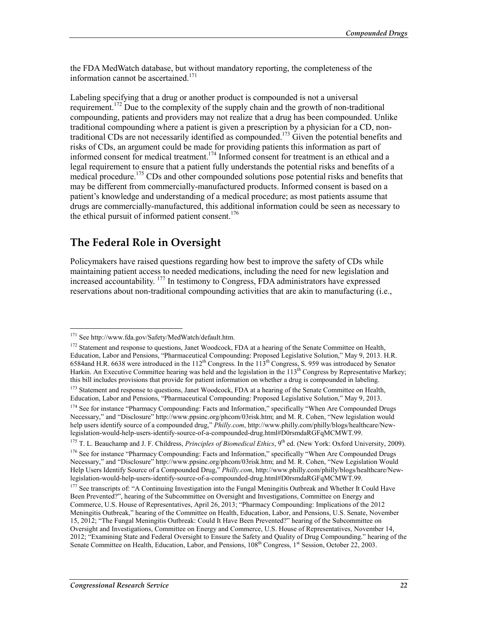the FDA MedWatch database, but without mandatory reporting, the completeness of the information cannot be ascertained.<sup>171</sup>

Labeling specifying that a drug or another product is compounded is not a universal requirement.<sup>172</sup> Due to the complexity of the supply chain and the growth of non-traditional compounding, patients and providers may not realize that a drug has been compounded. Unlike traditional compounding where a patient is given a prescription by a physician for a CD, nontraditional CDs are not necessarily identified as compounded.<sup>173</sup> Given the potential benefits and risks of CDs, an argument could be made for providing patients this information as part of informed consent for medical treatment.<sup>174</sup> Informed consent for treatment is an ethical and a legal requirement to ensure that a patient fully understands the potential risks and benefits of a medical procedure.<sup>175</sup> CDs and other compounded solutions pose potential risks and benefits that may be different from commercially-manufactured products. Informed consent is based on a patient's knowledge and understanding of a medical procedure; as most patients assume that drugs are commercially-manufactured, this additional information could be seen as necessary to the ethical pursuit of informed patient consent.<sup>176</sup>

#### **The Federal Role in Oversight**

Policymakers have raised questions regarding how best to improve the safety of CDs while maintaining patient access to needed medications, including the need for new legislation and increased accountability. 177 In testimony to Congress, FDA administrators have expressed reservations about non-traditional compounding activities that are akin to manufacturing (i.e.,

<sup>171</sup> See http://www.fda.gov/Safety/MedWatch/default.htm.

<sup>&</sup>lt;sup>172</sup> Statement and response to questions, Janet Woodcock, FDA at a hearing of the Senate Committee on Health, Education, Labor and Pensions, "Pharmaceutical Compounding: Proposed Legislative Solution," May 9, 2013. H.R. 6584and H.R. 6638 were introduced in the 112<sup>th</sup> Congress. In the 113<sup>th</sup> Congress, S. 959 was introduced by Senator Harkin. An Executive Committee hearing was held and the legislation in the  $113<sup>th</sup>$  Congress by Representative Markey; this bill includes provisions that provide for patient information on whether a drug is compounded in labeling.

<sup>&</sup>lt;sup>173</sup> Statement and response to questions, Janet Woodcock, FDA at a hearing of the Senate Committee on Health, Education, Labor and Pensions, "Pharmaceutical Compounding: Proposed Legislative Solution," May 9, 2013.

<sup>&</sup>lt;sup>174</sup> See for instance "Pharmacy Compounding: Facts and Information," specifically "When Are Compounded Drugs Necessary," and "Disclosure" http://www.ppsinc.org/phcom/03risk.htm; and M. R. Cohen, "New legislation would help users identify source of a compounded drug," *Philly.com*, http://www.philly.com/philly/blogs/healthcare/Newlegislation-would-help-users-identify-source-of-a-compounded-drug.html#D0rsmdaRGFqMCMWT.99.

<sup>&</sup>lt;sup>175</sup> T. L. Beauchamp and J. F. Childress, *Principles of Biomedical Ethics*, 9<sup>th</sup> ed. (New York: Oxford University, 2009).

<sup>&</sup>lt;sup>176</sup> See for instance "Pharmacy Compounding: Facts and Information," specifically "When Are Compounded Drugs Necessary," and "Disclosure" http://www.ppsinc.org/phcom/03risk.htm; and M. R. Cohen, "New Legislation Would Help Users Identify Source of a Compounded Drug," *Philly.com*, http://www.philly.com/philly/blogs/healthcare/Newlegislation-would-help-users-identify-source-of-a-compounded-drug.html#D0rsmdaRGFqMCMWT.99.

<sup>&</sup>lt;sup>177</sup> See transcripts of: "A Continuing Investigation into the Fungal Meningitis Outbreak and Whether It Could Have Been Prevented?", hearing of the Subcommittee on Oversight and Investigations, Committee on Energy and Commerce, U.S. House of Representatives, April 26, 2013; "Pharmacy Compounding: Implications of the 2012 Meningitis Outbreak," hearing of the Committee on Health, Education, Labor, and Pensions, U.S. Senate, November 15, 2012; "The Fungal Meningitis Outbreak: Could It Have Been Prevented?" hearing of the Subcommittee on Oversight and Investigations, Committee on Energy and Commerce, U.S. House of Representatives, November 14, 2012; "Examining State and Federal Oversight to Ensure the Safety and Quality of Drug Compounding." hearing of the Senate Committee on Health, Education, Labor, and Pensions, 108<sup>th</sup> Congress, 1<sup>st</sup> Session, October 22, 2003.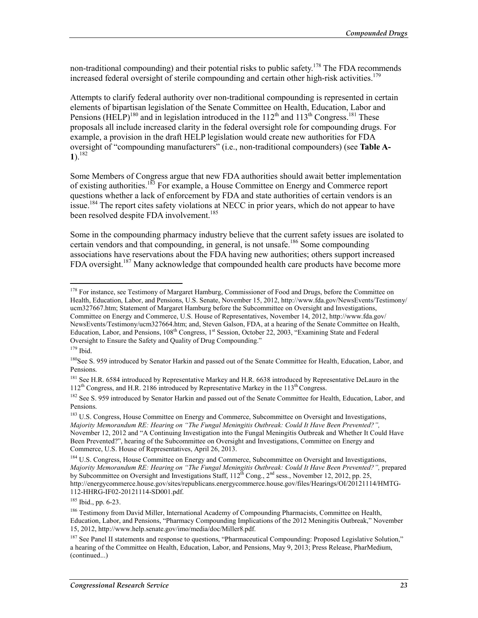non-traditional compounding) and their potential risks to public safety.<sup>178</sup> The FDA recommends increased federal oversight of sterile compounding and certain other high-risk activities.<sup>179</sup>

Attempts to clarify federal authority over non-traditional compounding is represented in certain elements of bipartisan legislation of the Senate Committee on Health, Education, Labor and Pensions (HELP)<sup>180</sup> and in legislation introduced in the  $112<sup>th</sup>$  and  $113<sup>th</sup>$  Congress.<sup>181</sup> These proposals all include increased clarity in the federal oversight role for compounding drugs. For example, a provision in the draft HELP legislation would create new authorities for FDA oversight of "compounding manufacturers" (i.e., non-traditional compounders) (see **Table A-1**).<sup>182</sup>

Some Members of Congress argue that new FDA authorities should await better implementation of existing authorities.183 For example, a House Committee on Energy and Commerce report questions whether a lack of enforcement by FDA and state authorities of certain vendors is an issue.<sup>184</sup> The report cites safety violations at NECC in prior years, which do not appear to have been resolved despite FDA involvement.<sup>185</sup>

Some in the compounding pharmacy industry believe that the current safety issues are isolated to certain vendors and that compounding, in general, is not unsafe.<sup>186</sup> Some compounding associations have reservations about the FDA having new authorities; others support increased FDA oversight.<sup>187</sup> Many acknowledge that compounded health care products have become more

<sup>&</sup>lt;sup>178</sup> For instance, see Testimony of Margaret Hamburg, Commissioner of Food and Drugs, before the Committee on Health, Education, Labor, and Pensions, U.S. Senate, November 15, 2012, http://www.fda.gov/NewsEvents/Testimony/ ucm327667.htm; Statement of Margaret Hamburg before the Subcommittee on Oversight and Investigations, Committee on Energy and Commerce, U.S. House of Representatives, November 14, 2012, http://www.fda.gov/ NewsEvents/Testimony/ucm327664.htm; and, Steven Galson, FDA, at a hearing of the Senate Committee on Health, Education, Labor, and Pensions, 108<sup>th</sup> Congress, 1<sup>st</sup> Session, October 22, 2003, "Examining State and Federal Oversight to Ensure the Safety and Quality of Drug Compounding."

 $179$  Ibid.

<sup>&</sup>lt;sup>180</sup>See S. 959 introduced by Senator Harkin and passed out of the Senate Committee for Health, Education, Labor, and Pensions.

<sup>&</sup>lt;sup>181</sup> See H.R. 6584 introduced by Representative Markey and H.R. 6638 introduced by Representative DeLauro in the 112<sup>th</sup> Congress, and H.R. 2186 introduced by Representative Markey in the 113<sup>th</sup> Congress.

<sup>&</sup>lt;sup>182</sup> See S. 959 introduced by Senator Harkin and passed out of the Senate Committee for Health, Education, Labor, and Pensions.

<sup>&</sup>lt;sup>183</sup> U.S. Congress, House Committee on Energy and Commerce, Subcommittee on Oversight and Investigations, *Majority Memorandum RE: Hearing on "The Fungal Meningitis Outbreak: Could It Have Been Prevented?",* November 12, 2012 and "A Continuing Investigation into the Fungal Meningitis Outbreak and Whether It Could Have Been Prevented?", hearing of the Subcommittee on Oversight and Investigations, Committee on Energy and Commerce, U.S. House of Representatives, April 26, 2013.

<sup>&</sup>lt;sup>184</sup> U.S. Congress, House Committee on Energy and Commerce, Subcommittee on Oversight and Investigations, *Majority Memorandum RE: Hearing on "The Fungal Meningitis Outbreak: Could It Have Been Prevented?",* prepared by Subcommittee on Oversight and Investigations Staff,  $112^{th}$  Cong.,  $2^{nd}$  sess., November 12, 2012, pp. 25, http://energycommerce.house.gov/sites/republicans.energycommerce.house.gov/files/Hearings/OI/20121114/HMTG-112-HHRG-IF02-20121114-SD001.pdf.

<sup>185</sup> Ibid., pp. 6-23.

<sup>&</sup>lt;sup>186</sup> Testimony from David Miller, International Academy of Compounding Pharmacists, Committee on Health, Education, Labor, and Pensions, "Pharmacy Compounding Implications of the 2012 Meningitis Outbreak," November 15, 2012, http://www.help.senate.gov/imo/media/doc/Miller8.pdf.

<sup>&</sup>lt;sup>187</sup> See Panel II statements and response to questions, "Pharmaceutical Compounding: Proposed Legislative Solution," a hearing of the Committee on Health, Education, Labor, and Pensions, May 9, 2013; Press Release, PharMedium, (continued...)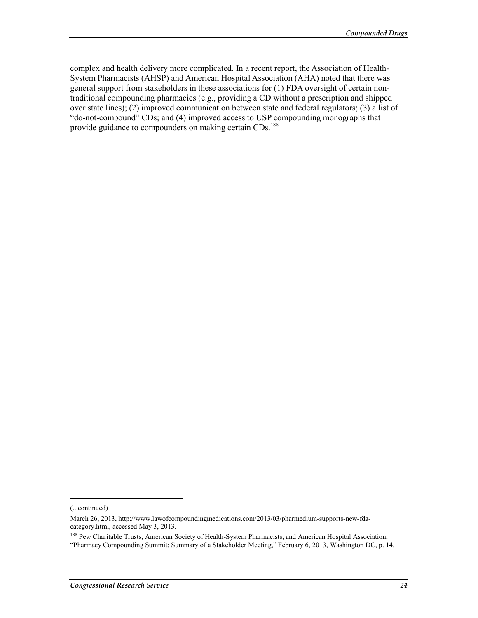complex and health delivery more complicated. In a recent report, the Association of Health-System Pharmacists (AHSP) and American Hospital Association (AHA) noted that there was general support from stakeholders in these associations for (1) FDA oversight of certain nontraditional compounding pharmacies (e.g., providing a CD without a prescription and shipped over state lines); (2) improved communication between state and federal regulators; (3) a list of "do-not-compound" CDs; and (4) improved access to USP compounding monographs that provide guidance to compounders on making certain CDs.<sup>188</sup>

<sup>(...</sup>continued)

March 26, 2013, http://www.lawofcompoundingmedications.com/2013/03/pharmedium-supports-new-fdacategory.html, accessed May 3, 2013.

<sup>&</sup>lt;sup>188</sup> Pew Charitable Trusts, American Society of Health-System Pharmacists, and American Hospital Association, "Pharmacy Compounding Summit: Summary of a Stakeholder Meeting," February 6, 2013, Washington DC, p. 14.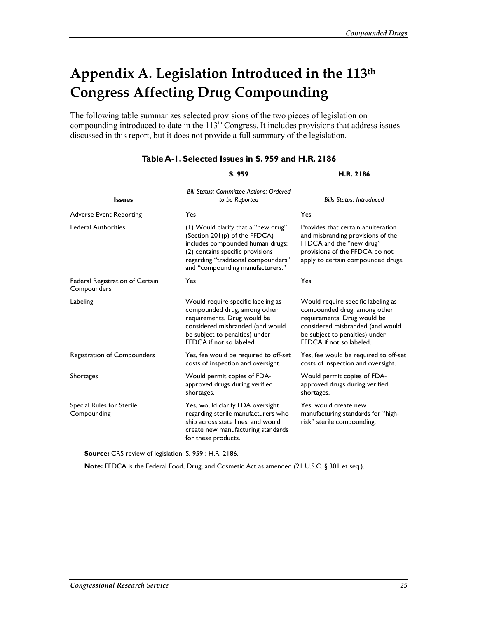# **Appendix A. Legislation Introduced in the 113th Congress Affecting Drug Compounding**

The following table summarizes selected provisions of the two pieces of legislation on compounding introduced to date in the 113<sup>th</sup> Congress. It includes provisions that address issues discussed in this report, but it does not provide a full summary of the legislation.

|                                                | S. 959                                                                                                                                                                                                                  | H.R. 2186                                                                                                                                                                                           |  |
|------------------------------------------------|-------------------------------------------------------------------------------------------------------------------------------------------------------------------------------------------------------------------------|-----------------------------------------------------------------------------------------------------------------------------------------------------------------------------------------------------|--|
| <b>Issues</b>                                  | <b>Bill Status: Committee Actions: Ordered</b><br>to be Reported                                                                                                                                                        | <b>Bills Status: Introduced</b>                                                                                                                                                                     |  |
| <b>Adverse Event Reporting</b>                 | Yes                                                                                                                                                                                                                     | Yes                                                                                                                                                                                                 |  |
| <b>Federal Authorities</b>                     | (1) Would clarify that a "new drug"<br>(Section 201(p) of the FFDCA)<br>includes compounded human drugs;<br>(2) contains specific provisions<br>regarding "traditional compounders"<br>and "compounding manufacturers." | Provides that certain adulteration<br>and misbranding provisions of the<br>FFDCA and the "new drug"<br>provisions of the FFDCA do not<br>apply to certain compounded drugs.                         |  |
| Federal Registration of Certain<br>Compounders | Yes                                                                                                                                                                                                                     | Yes                                                                                                                                                                                                 |  |
| Labeling                                       | Would require specific labeling as<br>compounded drug, among other<br>requirements. Drug would be<br>considered misbranded (and would<br>be subject to penalties) under<br>FFDCA if not so labeled.                     | Would require specific labeling as<br>compounded drug, among other<br>requirements. Drug would be<br>considered misbranded (and would<br>be subject to penalties) under<br>FFDCA if not so labeled. |  |
| Registration of Compounders                    | Yes, fee would be required to off-set<br>costs of inspection and oversight.                                                                                                                                             | Yes, fee would be required to off-set<br>costs of inspection and oversight.                                                                                                                         |  |
| <b>Shortages</b>                               | Would permit copies of FDA-<br>approved drugs during verified<br>shortages.                                                                                                                                             | Would permit copies of FDA-<br>approved drugs during verified<br>shortages.                                                                                                                         |  |
| Special Rules for Sterile<br>Compounding       | Yes, would clarify FDA oversight<br>regarding sterile manufacturers who<br>ship across state lines, and would<br>create new manufacturing standards<br>for these products.                                              | Yes, would create new<br>manufacturing standards for "high-<br>risk" sterile compounding.                                                                                                           |  |

#### **Table A-1. Selected Issues in S. 959 and H.R. 2186**

**Source:** CRS review of legislation: S. 959 ; H.R. 2186.

**Note:** FFDCA is the Federal Food, Drug, and Cosmetic Act as amended (21 U.S.C. § 301 et seq.).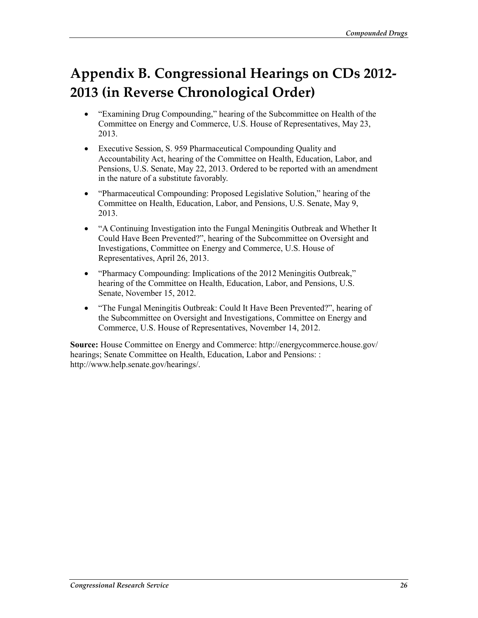# **Appendix B. Congressional Hearings on CDs 2012- 2013 (in Reverse Chronological Order)**

- "Examining Drug Compounding," hearing of the Subcommittee on Health of the Committee on Energy and Commerce, U.S. House of Representatives, May 23, 2013.
- Executive Session, S. 959 Pharmaceutical Compounding Quality and Accountability Act, hearing of the Committee on Health, Education, Labor, and Pensions, U.S. Senate, May 22, 2013. Ordered to be reported with an amendment in the nature of a substitute favorably.
- "Pharmaceutical Compounding: Proposed Legislative Solution," hearing of the Committee on Health, Education, Labor, and Pensions, U.S. Senate, May 9, 2013.
- "A Continuing Investigation into the Fungal Meningitis Outbreak and Whether It Could Have Been Prevented?", hearing of the Subcommittee on Oversight and Investigations, Committee on Energy and Commerce, U.S. House of Representatives, April 26, 2013.
- "Pharmacy Compounding: Implications of the 2012 Meningitis Outbreak," hearing of the Committee on Health, Education, Labor, and Pensions, U.S. Senate, November 15, 2012.
- "The Fungal Meningitis Outbreak: Could It Have Been Prevented?", hearing of the Subcommittee on Oversight and Investigations, Committee on Energy and Commerce, U.S. House of Representatives, November 14, 2012.

**Source:** House Committee on Energy and Commerce: http://energycommerce.house.gov/ hearings; Senate Committee on Health, Education, Labor and Pensions: : http://www.help.senate.gov/hearings/.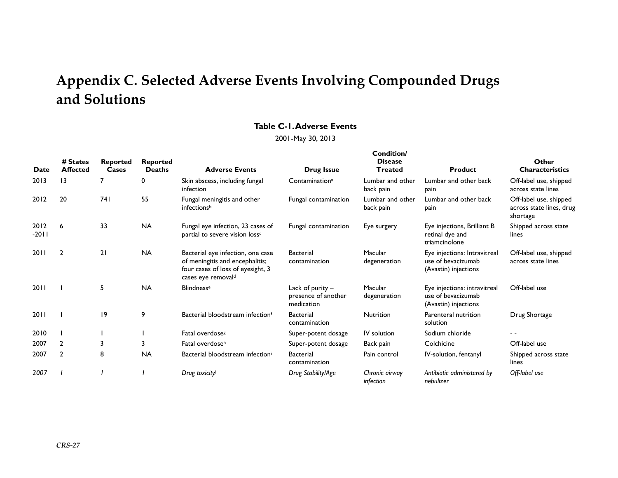## **Appendix C. Selected Adverse Events Involving Compounded Drugs and Solutions**

#### **Table C-1. Adverse Events**

2001-May 30, 2013

|                 |                             |                          |                                  |                                                                                                                                             |                                                         | Condition/                       |                                                                            |                                                                |
|-----------------|-----------------------------|--------------------------|----------------------------------|---------------------------------------------------------------------------------------------------------------------------------------------|---------------------------------------------------------|----------------------------------|----------------------------------------------------------------------------|----------------------------------------------------------------|
| Date            | # States<br><b>Affected</b> | <b>Reported</b><br>Cases | <b>Reported</b><br><b>Deaths</b> | <b>Adverse Events</b>                                                                                                                       | Drug Issue                                              | <b>Disease</b><br><b>Treated</b> | <b>Product</b>                                                             | Other<br><b>Characteristics</b>                                |
| 2013            | $\overline{13}$             |                          | 0                                | Skin abscess, including fungal<br>infection                                                                                                 | Contamination <sup>a</sup>                              | Lumbar and other<br>back pain    | Lumbar and other back<br>pain                                              | Off-label use, shipped<br>across state lines                   |
| 2012            | 20                          | 741                      | 55                               | Fungal meningitis and other<br>infectionsb                                                                                                  | Fungal contamination                                    | Lumbar and other<br>back pain    | Lumbar and other back<br>pain                                              | Off-label use, shipped<br>across state lines, drug<br>shortage |
| 2012<br>$-2011$ | 6                           | 33                       | <b>NA</b>                        | Fungal eye infection, 23 cases of<br>partial to severe vision loss <sup>c</sup>                                                             | Fungal contamination                                    | Eye surgery                      | Eye injections, Brilliant B<br>retinal dye and<br>triamcinolone            | Shipped across state<br>lines                                  |
| 2011            | $\overline{2}$              | 21                       | <b>NA</b>                        | Bacterial eye infection, one case<br>of meningitis and encephalitis;<br>four cases of loss of eyesight, 3<br>cases eye removal <sup>d</sup> | <b>Bacterial</b><br>contamination                       | Macular<br>degeneration          | Eye injections: Intravitreal<br>use of bevacizumab<br>(Avastin) injections | Off-label use, shipped<br>across state lines                   |
| 2011            |                             | 5.                       | <b>NA</b>                        | <b>Blindnesse</b>                                                                                                                           | Lack of purity $-$<br>presence of another<br>medication | Macular<br>degeneration          | Eye injections: intravitreal<br>use of bevacizumab<br>(Avastin) injections | Off-label use                                                  |
| 2011            |                             | 9                        | 9                                | Bacterial bloodstream infectionf                                                                                                            | <b>Bacterial</b><br>contamination                       | <b>Nutrition</b>                 | Parenteral nutrition<br>solution                                           | Drug Shortage                                                  |
| 2010            |                             |                          |                                  | Fatal overdose <sup>g</sup>                                                                                                                 | Super-potent dosage                                     | IV solution                      | Sodium chloride                                                            | $ -$                                                           |
| 2007            | 2                           | 3                        | 3                                | Fatal overdoseh                                                                                                                             | Super-potent dosage                                     | Back pain                        | Colchicine                                                                 | Off-label use                                                  |
| 2007            | $\overline{2}$              | 8                        | <b>NA</b>                        | Bacterial bloodstream infectioni                                                                                                            | <b>Bacterial</b><br>contamination                       | Pain control                     | IV-solution, fentanyl                                                      | Shipped across state<br>lines                                  |
| 2007            |                             |                          |                                  | Drug toxicity                                                                                                                               | Drug Stability/Age                                      | Chronic airway<br>infection      | Antibiotic administered by<br>nebulizer                                    | Off-label use                                                  |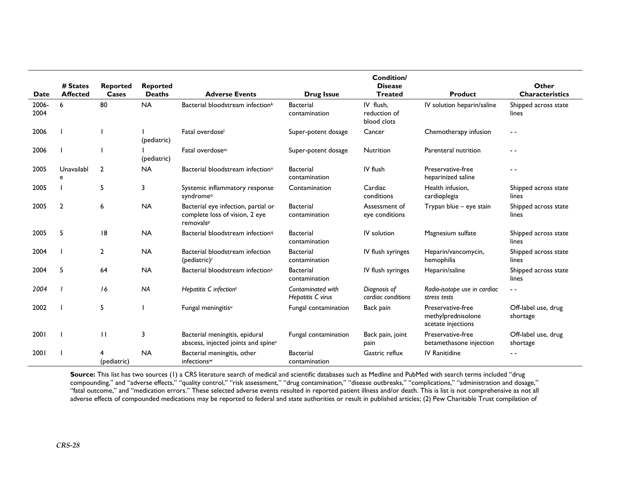|       |                             |                          |                                  |                                                                                    |                                        | <b>Condition/</b>                  |                                                               |                                 |
|-------|-----------------------------|--------------------------|----------------------------------|------------------------------------------------------------------------------------|----------------------------------------|------------------------------------|---------------------------------------------------------------|---------------------------------|
| Date  | # States<br><b>Affected</b> | <b>Reported</b><br>Cases | <b>Reported</b><br><b>Deaths</b> | <b>Adverse Events</b>                                                              | <b>Drug Issue</b>                      | <b>Disease</b><br><b>Treated</b>   | Product                                                       | Other<br><b>Characteristics</b> |
| 2006- | 6                           | 80                       | <b>NA</b>                        | Bacterial bloodstream infectionk                                                   | <b>Bacterial</b>                       | IV flush,                          | IV solution heparin/saline                                    | Shipped across state            |
| 2004  |                             |                          |                                  |                                                                                    | contamination                          | reduction of<br>blood clots        |                                                               | lines                           |
| 2006  |                             |                          | (pediatric)                      | Fatal overdose <sup>1</sup>                                                        | Super-potent dosage                    | Cancer                             | Chemotherapy infusion                                         | $ -$                            |
| 2006  |                             |                          | (pediatric)                      | Fatal overdose <sup>m</sup>                                                        | Super-potent dosage                    | Nutrition                          | Parenteral nutrition                                          | - -                             |
| 2005  | Unavailabl<br>e             | $\overline{2}$           | <b>NA</b>                        | Bacterial bloodstream infection <sup>n</sup>                                       | <b>Bacterial</b><br>contamination      | IV flush                           | Preservative-free<br>heparinized saline                       | - -                             |
| 2005  |                             | 5                        | 3                                | Systemic inflammatory response<br>syndrome <sup>o</sup>                            | Contamination                          | Cardiac<br>conditions              | Health infusion.<br>cardioplegia                              | Shipped across state<br>lines   |
| 2005  | $\overline{2}$              | 6                        | <b>NA</b>                        | Bacterial eye infection, partial or<br>complete loss of vision, 2 eye<br>removalsP | <b>Bacterial</b><br>contamination      | Assessment of<br>eye conditions    | Trypan blue - eye stain                                       | Shipped across state<br>lines   |
| 2005  | 5                           | 18                       | <b>NA</b>                        | Bacterial bloodstream infection <sup>q</sup>                                       | <b>Bacterial</b><br>contamination      | IV solution                        | Magnesium sulfate                                             | Shipped across state<br>lines   |
| 2004  |                             | 2                        | <b>NA</b>                        | Bacterial bloodstream infection<br>(pediatric) <sup>r</sup>                        | <b>Bacterial</b><br>contamination      | IV flush syringes                  | Heparin/vancomycin,<br>hemophilia                             | Shipped across state<br>lines   |
| 2004  | 5                           | 64                       | <b>NA</b>                        | Bacterial bloodstream infections                                                   | <b>Bacterial</b><br>contamination      | IV flush syringes                  | Heparin/saline                                                | Shipped across state<br>lines   |
| 2004  |                             | 16                       | <b>NA</b>                        | Hepatitis C infection <sup>t</sup>                                                 | Contaminated with<br>Hepatitis C virus | Diagnosis of<br>cardiac conditions | Radio-isotope use in cardiac<br>stress tests                  | $ -$                            |
| 2002  |                             | 5                        |                                  | Fungal meningitis <sup>u</sup>                                                     | Fungal contamination                   | Back pain                          | Preservative-free<br>methylprednisolone<br>acetate injections | Off-label use, drug<br>shortage |
| 2001  |                             | П                        | 3                                | Bacterial meningitis, epidural<br>abscess, injected joints and spine <sup>v</sup>  | Fungal contamination                   | Back pain, joint<br>pain           | Preservative-free<br>betamethasone injection                  | Off-label use, drug<br>shortage |
| 2001  |                             | (pediatric)              | <b>NA</b>                        | Bacterial meningitis, other<br>infections <sup>w</sup>                             | <b>Bacterial</b><br>contamination      | Gastric reflux                     | <b>IV Ranitidine</b>                                          | . .                             |

**Source:** This list has two sources (1) a CRS literature search of medical and scientific databases such as Medline and PubMed with search terms included "drug compounding," and "adverse effects," "quality control," "risk assessment," "drug contamination," "disease outbreaks," "complications," "administration and dosage," "fatal outcome," and "medication errors." These selected adverse events resulted in reported patient illness and/or death. This is list is not comprehensive as not all adverse effects of compounded medications may be reported to federal and state authorities or result in published articles; (2) Pew Charitable Trust compilation of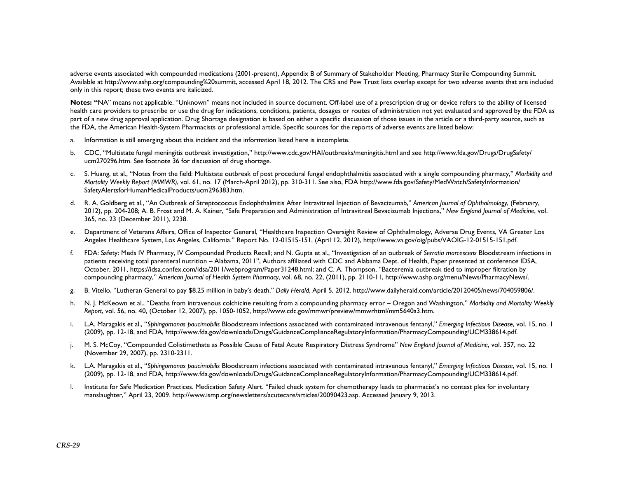adverse events associated with compounded medications (2001-present), Appendix B of Summary of Stakeholder Meeting, Pharmacy Sterile Compounding Summit. Available at http://www.ashp.org/compounding%20summit, accessed April 18, 2012. The CRS and Pew Trust lists overlap except for two adverse events that are included only in this report; these two events are italicized.

**Notes: "**NA" means not applicable. "Unknown" means not included in source document. Off-label use of a prescription drug or device refers to the ability of licensed health care providers to prescribe or use the drug for indications, conditions, patients, dosages or routes of administration not yet evaluated and approved by the FDA as part of a new drug approval application. Drug Shortage designation is based on either a specific discussion of those issues in the article or a third-party source, such as the FDA, the American Health-System Pharmacists or professional article. Specific sources for the reports of adverse events are listed below:

- a.Information is still emerging about this incident and the information listed here is incomplete.
- b. CDC, "Multistate fungal meningitis outbreak investigation," http://www.cdc.gov/HAI/outbreaks/meningitis.html and see http://www.fda.gov/Drugs/DrugSafety/ ucm270296.htm. See footnote 36 for discussion of drug shortage.
- c. S. Huang, et al., "Notes from the field: Multistate outbreak of post procedural fungal endophthalmitis associated with a single compounding pharmacy," *Morbidity and Mortality Weekly Report (MMWR)*, vol. 61, no. 17 (March-April 2012), pp. 310-311. See also, FDA http://www.fda.gov/Safety/MedWatch/SafetyInformation/ SafetyAlertsforHumanMedicalProducts/ucm296383.htm.
- d. R. A. Goldberg et al., "An Outbreak of Streptococcus Endophthalmitis After Intravitreal Injection of Bevacizumab," *American Journal of Ophthalmology*, (February, 2012), pp. 204-208; A. B. Frost and M. A. Kainer, "Safe Preparation and Administration of Intravitreal Bevacizumab Injections," *New England Journal of Medicine*, vol. 365, no. 23 (December 2011), 2238.
- e. Department of Veterans Affairs, Office of Inspector General, "Healthcare Inspection Oversight Review of Ophthalmology, Adverse Drug Events, VA Greater Los Angeles Healthcare System, Los Angeles, California." Report No. 12-01515-151, (April 12, 2012), http://www.va.gov/oig/pubs/VAOIG-12-01515-151.pdf.
- f. FDA: Safety: Meds IV Pharmacy, IV Compounded Products Recall; and N. Gupta et al., "Investigation of an outbreak of *Serratia marcescens* Bloodstream infections in patients receiving total parenteral nutrition – Alabama, 2011", Authors affiliated with CDC and Alabama Dept. of Health, Paper presented at conference IDSA, October, 2011, https://idsa.confex.com/idsa/2011/webprogram/Paper31248.html; and C. A. Thompson, "Bacteremia outbreak tied to improper filtration by compounding pharmacy," *American Journal of Health System Pharmacy*, vol. 68, no. 22, (2011), pp. 2110-11, http://www.ashp.org/menu/News/PharmacyNews/.
- g. B. Vitello, "Lutheran General to pay \$8.25 million in baby's death," *Daily Herald*, April 5, 2012. http://www.dailyherald.com/article/20120405/news/704059806/.
- h. N. J. McKeown et al., "Deaths from intravenous colchicine resulting from a compounding pharmacy error Oregon and Washington," *Morbidity and Mortality Weekly Report*, vol. 56, no. 40, (October 12, 2007), pp. 1050-1052, http://www.cdc.gov/mmwr/preview/mmwrhtml/mm5640a3.htm.
- i. L.A. Maragakis et al., "*Sphingomonas paucimobilis* Bloodstream infections associated with contaminated intravenous fentanyl," *Emerging Infectious Disease*, vol. 15, no. 1 (2009), pp. 12-18, and FDA, http://www.fda.gov/downloads/Drugs/GuidanceComplianceRegulatoryInformation/PharmacyCompounding/UCM338614.pdf.
- j. M. S. McCoy, "Compounded Colistimethate as Possible Cause of Fatal Acute Respiratory Distress Syndrome" *New England Journal of Medicine*, vol. 357, no. 22 (November 29, 2007), pp. 2310-2311.
- k. L.A. Maragakis et al., "*Sphingomonas paucimobilis* Bloodstream infections associated with contaminated intravenous fentanyl," *Emerging Infectious Disease*, vol. 15, no. 1 (2009), pp. 12-18, and FDA, http://www.fda.gov/downloads/Drugs/GuidanceComplianceRegulatoryInformation/PharmacyCompounding/UCM338614.pdf.
- l. Institute for Safe Medication Practices. Medication Safety Alert. "Failed check system for chemotherapy leads to pharmacist's no contest plea for involuntary manslaughter," April 23, 2009. http://www.ismp.org/newsletters/acutecare/articles/20090423.asp. Accessed January 9, 2013.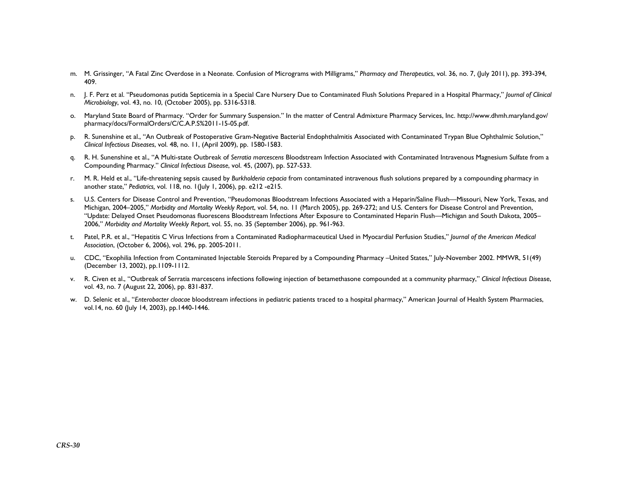- m. M. Grissinger, "A Fatal Zinc Overdose in a Neonate. Confusion of Micrograms with Milligrams," *Pharmacy and Therapeutics*, vol. 36, no. 7, (July 2011), pp. 393-394, 409.
- n. J. F. Perz et al. "Pseudomonas putida Septicemia in a Special Care Nursery Due to Contaminated Flush Solutions Prepared in a Hospital Pharmacy," *Journal of Clinical Microbiology*, vol. 43, no. 10, (October 2005), pp. 5316-5318.
- o. Maryland State Board of Pharmacy. "Order for Summary Suspension." In the matter of Central Admixture Pharmacy Services, Inc. http://www.dhmh.maryland.gov/ pharmacy/docs/FormalOrders/C/C.A.P.S%2011-15-05.pdf.
- p. R. Sunenshine et al., "An Outbreak of Postoperative Gram-Negative Bacterial Endophthalmitis Associated with Contaminated Trypan Blue Ophthalmic Solution," *Clinical Infectious Diseases*, vol. 48, no. 11, (April 2009), pp. 1580-1583.
- q. R. H. Sunenshine et al., "A Multi-state Outbreak of *Serratia marcescens* Bloodstream Infection Associated with Contaminated Intravenous Magnesium Sulfate from a Compounding Pharmacy." *Clinical Infectious Disease*, vol. 45, (2007), pp. 527-533.
- r. M. R. Held et al., "Life-threatening sepsis caused by *Burkholderia cepacia* from contaminated intravenous flush solutions prepared by a compounding pharmacy in another state," *Pediatrics,* vol. 118, no. 1(July 1, 2006), pp. e212 -e215.
- s. U.S. Centers for Disease Control and Prevention, "Pseudomonas Bloodstream Infections Associated with a Heparin/Saline Flush—Missouri, New York, Texas, and Michigan, 2004–2005," *Morbidity and Mortality Weekly Report*, vol. 54, no. 11 (March 2005), pp. 269-272; and U.S. Centers for Disease Control and Prevention, "Update: Delayed Onset Pseudomonas fluorescens Bloodstream Infections After Exposure to Contaminated Heparin Flush—Michigan and South Dakota, 2005– 2006," *Morbidity and Mortality Weekly Report*, vol. 55, no. 35 (September 2006), pp. 961-963.
- t. Patel, P.R. et al., "Hepatitis C Virus Infections from a Contaminated Radiopharmaceutical Used in Myocardial Perfusion Studies," *Journal of the American Medical Association*, (October 6, 2006), vol. 296, pp. 2005-2011.
- u. CDC, "Exophilia Infection from Contaminated Injectable Steroids Prepared by a Compounding Pharmacy –United States," July-November 2002. MMWR, 51(49) (December 13, 2002), pp.1109-1112.
- v. R. Civen et al., "Outbreak of Serratia marcescens infections following injection of betamethasone compounded at a community pharmacy," *Clinical Infectious Dis*ease, vol. 43, no. 7 (August 22, 2006), pp. 831-837.
- w. D. Selenic et al., "*Enterobacter cloacae* bloodstream infections in pediatric patients traced to a hospital pharmacy," American Journal of Health System Pharmacies, vol.14, no. 60 (July 14, 2003), pp.1440-1446.